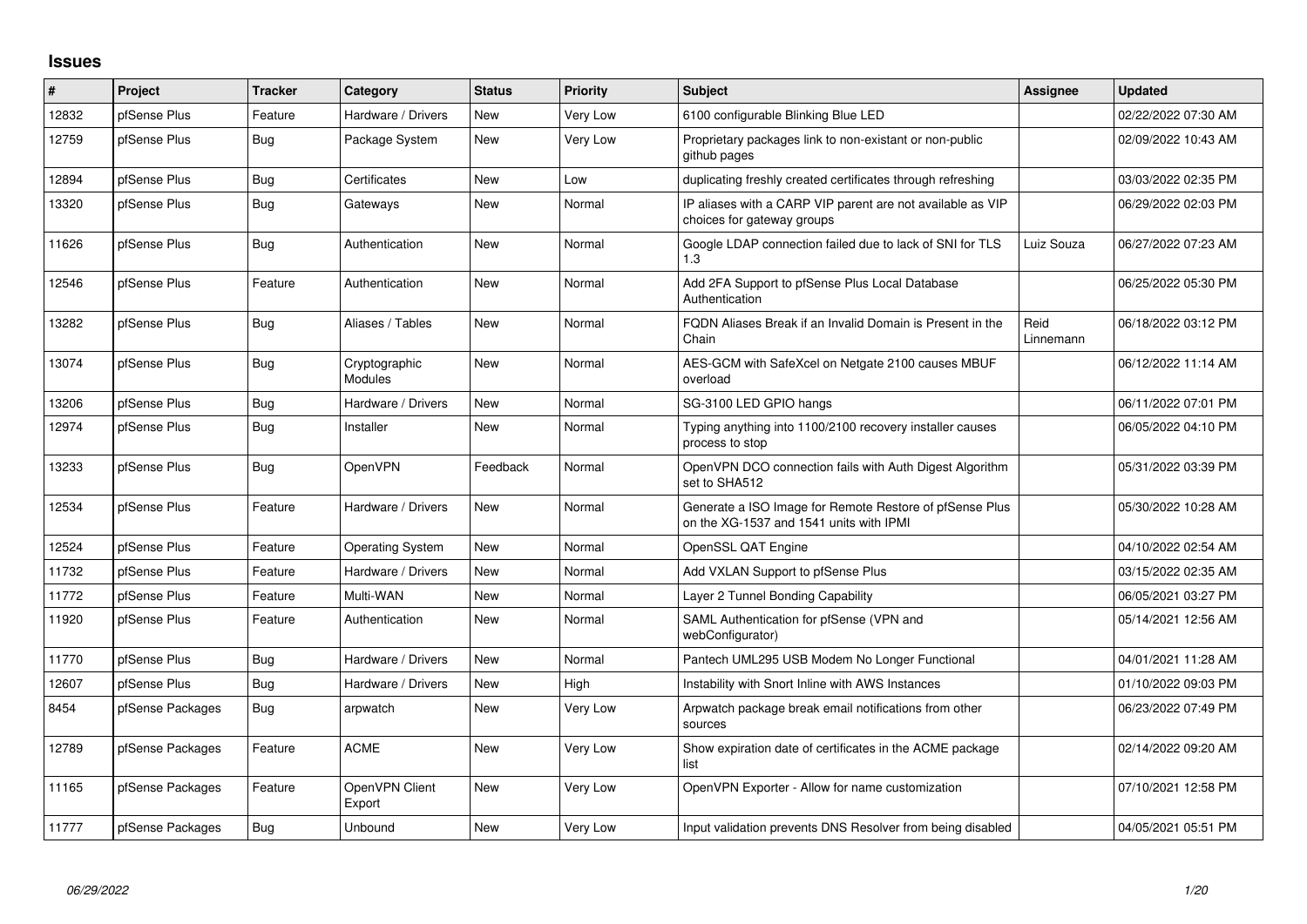## **Issues**

| ∦     | Project          | <b>Tracker</b> | Category                        | <b>Status</b> | <b>Priority</b> | <b>Subject</b>                                                                                     | <b>Assignee</b>   | <b>Updated</b>      |
|-------|------------------|----------------|---------------------------------|---------------|-----------------|----------------------------------------------------------------------------------------------------|-------------------|---------------------|
| 12832 | pfSense Plus     | Feature        | Hardware / Drivers              | <b>New</b>    | Very Low        | 6100 configurable Blinking Blue LED                                                                |                   | 02/22/2022 07:30 AM |
| 12759 | pfSense Plus     | Bug            | Package System                  | <b>New</b>    | Very Low        | Proprietary packages link to non-existant or non-public<br>github pages                            |                   | 02/09/2022 10:43 AM |
| 12894 | pfSense Plus     | Bug            | Certificates                    | <b>New</b>    | Low             | duplicating freshly created certificates through refreshing                                        |                   | 03/03/2022 02:35 PM |
| 13320 | pfSense Plus     | Bug            | Gateways                        | <b>New</b>    | Normal          | IP aliases with a CARP VIP parent are not available as VIP<br>choices for gateway groups           |                   | 06/29/2022 02:03 PM |
| 11626 | pfSense Plus     | <b>Bug</b>     | Authentication                  | <b>New</b>    | Normal          | Google LDAP connection failed due to lack of SNI for TLS<br>1.3                                    | Luiz Souza        | 06/27/2022 07:23 AM |
| 12546 | pfSense Plus     | Feature        | Authentication                  | <b>New</b>    | Normal          | Add 2FA Support to pfSense Plus Local Database<br>Authentication                                   |                   | 06/25/2022 05:30 PM |
| 13282 | pfSense Plus     | Bug            | Aliases / Tables                | <b>New</b>    | Normal          | FQDN Aliases Break if an Invalid Domain is Present in the<br>Chain                                 | Reid<br>Linnemann | 06/18/2022 03:12 PM |
| 13074 | pfSense Plus     | Bug            | Cryptographic<br><b>Modules</b> | <b>New</b>    | Normal          | AES-GCM with SafeXcel on Netgate 2100 causes MBUF<br>overload                                      |                   | 06/12/2022 11:14 AM |
| 13206 | pfSense Plus     | <b>Bug</b>     | Hardware / Drivers              | <b>New</b>    | Normal          | SG-3100 LED GPIO hangs                                                                             |                   | 06/11/2022 07:01 PM |
| 12974 | pfSense Plus     | Bug            | Installer                       | <b>New</b>    | Normal          | Typing anything into 1100/2100 recovery installer causes<br>process to stop                        |                   | 06/05/2022 04:10 PM |
| 13233 | pfSense Plus     | <b>Bug</b>     | OpenVPN                         | Feedback      | Normal          | OpenVPN DCO connection fails with Auth Digest Algorithm<br>set to SHA512                           |                   | 05/31/2022 03:39 PM |
| 12534 | pfSense Plus     | Feature        | Hardware / Drivers              | <b>New</b>    | Normal          | Generate a ISO Image for Remote Restore of pfSense Plus<br>on the XG-1537 and 1541 units with IPMI |                   | 05/30/2022 10:28 AM |
| 12524 | pfSense Plus     | Feature        | <b>Operating System</b>         | <b>New</b>    | Normal          | OpenSSL QAT Engine                                                                                 |                   | 04/10/2022 02:54 AM |
| 11732 | pfSense Plus     | Feature        | Hardware / Drivers              | <b>New</b>    | Normal          | Add VXLAN Support to pfSense Plus                                                                  |                   | 03/15/2022 02:35 AM |
| 11772 | pfSense Plus     | Feature        | Multi-WAN                       | <b>New</b>    | Normal          | Layer 2 Tunnel Bonding Capability                                                                  |                   | 06/05/2021 03:27 PM |
| 11920 | pfSense Plus     | Feature        | Authentication                  | <b>New</b>    | Normal          | SAML Authentication for pfSense (VPN and<br>webConfigurator)                                       |                   | 05/14/2021 12:56 AM |
| 11770 | pfSense Plus     | Bug            | Hardware / Drivers              | <b>New</b>    | Normal          | Pantech UML295 USB Modem No Longer Functional                                                      |                   | 04/01/2021 11:28 AM |
| 12607 | pfSense Plus     | <b>Bug</b>     | Hardware / Drivers              | <b>New</b>    | High            | Instability with Snort Inline with AWS Instances                                                   |                   | 01/10/2022 09:03 PM |
| 8454  | pfSense Packages | Bug            | arpwatch                        | <b>New</b>    | Very Low        | Arpwatch package break email notifications from other<br>sources                                   |                   | 06/23/2022 07:49 PM |
| 12789 | pfSense Packages | Feature        | <b>ACME</b>                     | <b>New</b>    | Very Low        | Show expiration date of certificates in the ACME package<br>list                                   |                   | 02/14/2022 09:20 AM |
| 11165 | pfSense Packages | Feature        | OpenVPN Client<br>Export        | <b>New</b>    | Very Low        | OpenVPN Exporter - Allow for name customization                                                    |                   | 07/10/2021 12:58 PM |
| 11777 | pfSense Packages | Bug            | Unbound                         | <b>New</b>    | Very Low        | Input validation prevents DNS Resolver from being disabled                                         |                   | 04/05/2021 05:51 PM |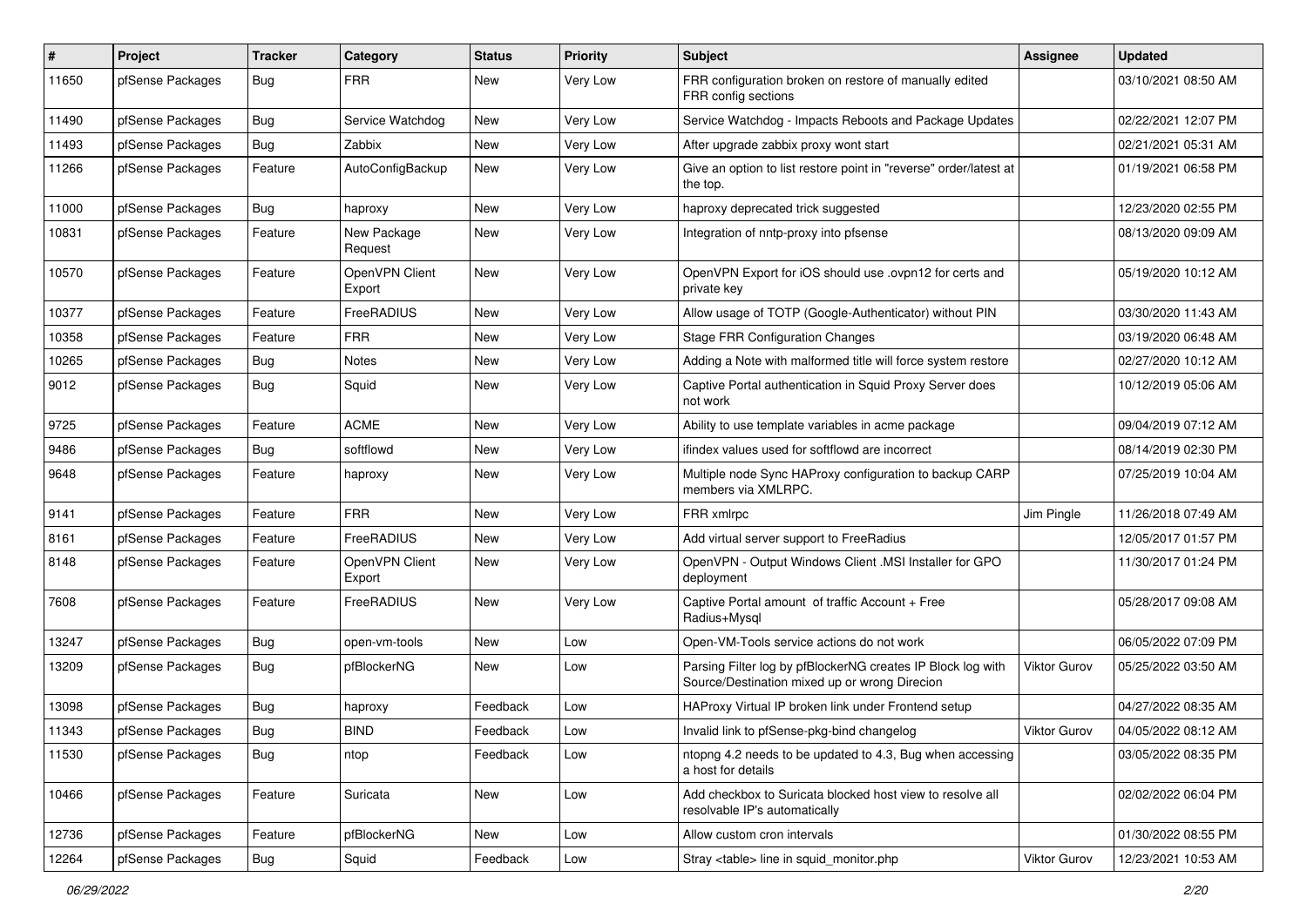| #     | Project          | Tracker    | Category                 | <b>Status</b> | <b>Priority</b> | <b>Subject</b>                                                                                               | <b>Assignee</b>     | <b>Updated</b>      |
|-------|------------------|------------|--------------------------|---------------|-----------------|--------------------------------------------------------------------------------------------------------------|---------------------|---------------------|
| 11650 | pfSense Packages | <b>Bug</b> | <b>FRR</b>               | New           | Very Low        | FRR configuration broken on restore of manually edited<br>FRR config sections                                |                     | 03/10/2021 08:50 AM |
| 11490 | pfSense Packages | <b>Bug</b> | Service Watchdog         | <b>New</b>    | Very Low        | Service Watchdog - Impacts Reboots and Package Updates                                                       |                     | 02/22/2021 12:07 PM |
| 11493 | pfSense Packages | <b>Bug</b> | Zabbix                   | <b>New</b>    | Very Low        | After upgrade zabbix proxy wont start                                                                        |                     | 02/21/2021 05:31 AM |
| 11266 | pfSense Packages | Feature    | AutoConfigBackup         | <b>New</b>    | Very Low        | Give an option to list restore point in "reverse" order/latest at<br>the top.                                |                     | 01/19/2021 06:58 PM |
| 11000 | pfSense Packages | <b>Bug</b> | haproxy                  | <b>New</b>    | Very Low        | haproxy deprecated trick suggested                                                                           |                     | 12/23/2020 02:55 PM |
| 10831 | pfSense Packages | Feature    | New Package<br>Request   | New           | Very Low        | Integration of nntp-proxy into pfsense                                                                       |                     | 08/13/2020 09:09 AM |
| 10570 | pfSense Packages | Feature    | OpenVPN Client<br>Export | <b>New</b>    | Very Low        | OpenVPN Export for iOS should use .ovpn12 for certs and<br>private key                                       |                     | 05/19/2020 10:12 AM |
| 10377 | pfSense Packages | Feature    | FreeRADIUS               | <b>New</b>    | Very Low        | Allow usage of TOTP (Google-Authenticator) without PIN                                                       |                     | 03/30/2020 11:43 AM |
| 10358 | pfSense Packages | Feature    | <b>FRR</b>               | <b>New</b>    | Very Low        | <b>Stage FRR Configuration Changes</b>                                                                       |                     | 03/19/2020 06:48 AM |
| 10265 | pfSense Packages | Bug        | Notes                    | New           | Very Low        | Adding a Note with malformed title will force system restore                                                 |                     | 02/27/2020 10:12 AM |
| 9012  | pfSense Packages | <b>Bug</b> | Squid                    | New           | Very Low        | Captive Portal authentication in Squid Proxy Server does<br>not work                                         |                     | 10/12/2019 05:06 AM |
| 9725  | pfSense Packages | Feature    | <b>ACME</b>              | <b>New</b>    | Very Low        | Ability to use template variables in acme package                                                            |                     | 09/04/2019 07:12 AM |
| 9486  | pfSense Packages | <b>Bug</b> | softflowd                | <b>New</b>    | Very Low        | ifindex values used for softflowd are incorrect                                                              |                     | 08/14/2019 02:30 PM |
| 9648  | pfSense Packages | Feature    | haproxy                  | New           | Very Low        | Multiple node Sync HAProxy configuration to backup CARP<br>members via XMLRPC.                               |                     | 07/25/2019 10:04 AM |
| 9141  | pfSense Packages | Feature    | <b>FRR</b>               | <b>New</b>    | Very Low        | FRR xmlrpc                                                                                                   | Jim Pingle          | 11/26/2018 07:49 AM |
| 8161  | pfSense Packages | Feature    | FreeRADIUS               | <b>New</b>    | Very Low        | Add virtual server support to FreeRadius                                                                     |                     | 12/05/2017 01:57 PM |
| 8148  | pfSense Packages | Feature    | OpenVPN Client<br>Export | New           | Very Low        | OpenVPN - Output Windows Client .MSI Installer for GPO<br>deployment                                         |                     | 11/30/2017 01:24 PM |
| 7608  | pfSense Packages | Feature    | FreeRADIUS               | <b>New</b>    | Very Low        | Captive Portal amount of traffic Account + Free<br>Radius+Mysql                                              |                     | 05/28/2017 09:08 AM |
| 13247 | pfSense Packages | <b>Bug</b> | open-vm-tools            | New           | Low             | Open-VM-Tools service actions do not work                                                                    |                     | 06/05/2022 07:09 PM |
| 13209 | pfSense Packages | Bug        | pfBlockerNG              | New           | Low             | Parsing Filter log by pfBlockerNG creates IP Block log with<br>Source/Destination mixed up or wrong Direcion | Viktor Gurov        | 05/25/2022 03:50 AM |
| 13098 | pfSense Packages | <b>Bug</b> | haproxy                  | Feedback      | Low             | HAProxy Virtual IP broken link under Frontend setup                                                          |                     | 04/27/2022 08:35 AM |
| 11343 | pfSense Packages | Bug        | <b>BIND</b>              | Feedback      | Low             | Invalid link to pfSense-pkg-bind changelog                                                                   | <b>Viktor Gurov</b> | 04/05/2022 08:12 AM |
| 11530 | pfSense Packages | Bug        | ntop                     | Feedback      | Low             | ntopng 4.2 needs to be updated to 4.3, Bug when accessing<br>a host for details                              |                     | 03/05/2022 08:35 PM |
| 10466 | pfSense Packages | Feature    | Suricata                 | New           | Low             | Add checkbox to Suricata blocked host view to resolve all<br>resolvable IP's automatically                   |                     | 02/02/2022 06:04 PM |
| 12736 | pfSense Packages | Feature    | pfBlockerNG              | New           | Low             | Allow custom cron intervals                                                                                  |                     | 01/30/2022 08:55 PM |
| 12264 | pfSense Packages | <b>Bug</b> | Squid                    | Feedback      | Low             | Stray <table> line in squid monitor.php</table>                                                              | <b>Viktor Gurov</b> | 12/23/2021 10:53 AM |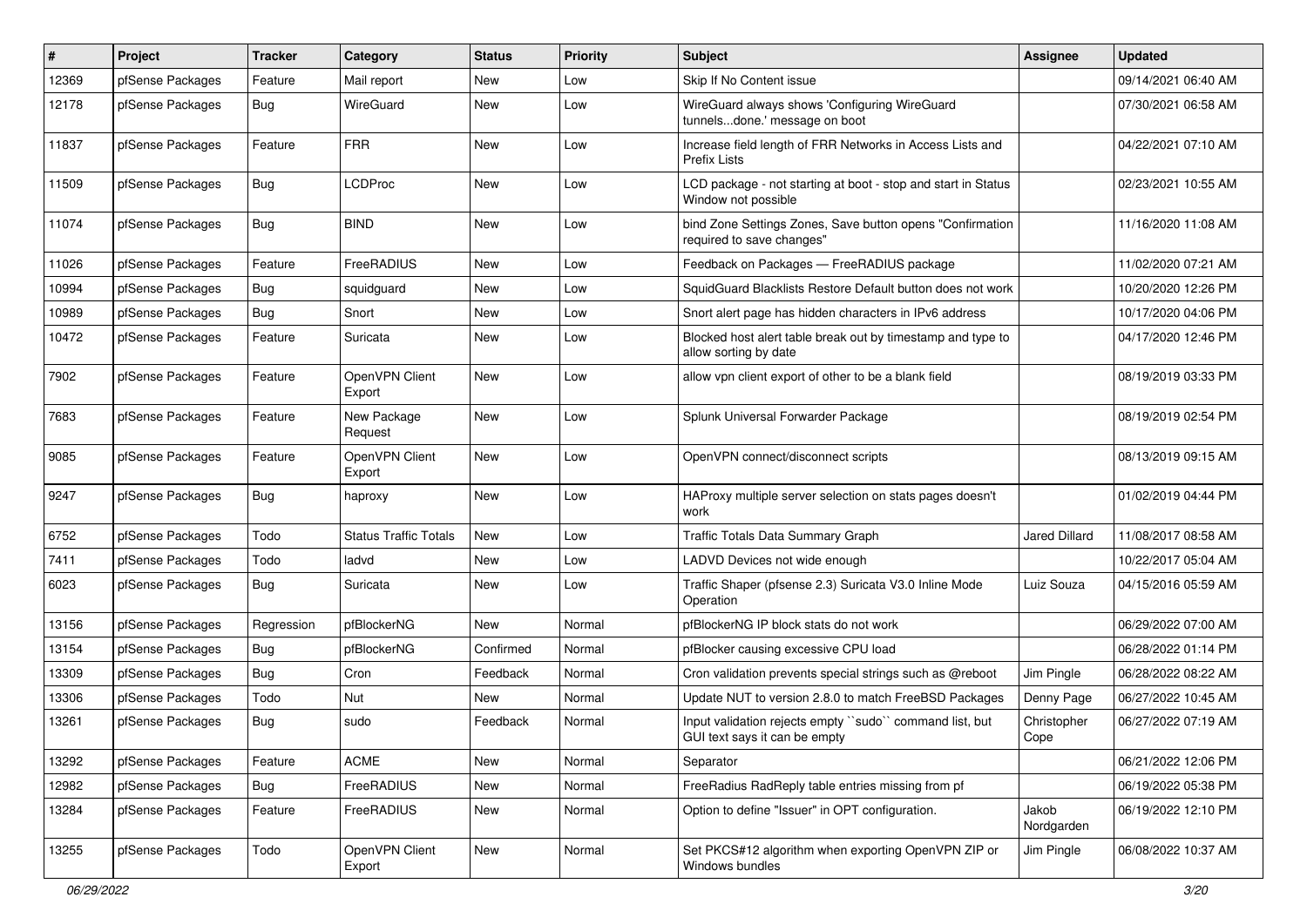| $\pmb{\#}$ | Project          | <b>Tracker</b> | Category                     | <b>Status</b> | <b>Priority</b> | <b>Subject</b>                                                                           | Assignee            | <b>Updated</b>      |
|------------|------------------|----------------|------------------------------|---------------|-----------------|------------------------------------------------------------------------------------------|---------------------|---------------------|
| 12369      | pfSense Packages | Feature        | Mail report                  | New           | Low             | Skip If No Content issue                                                                 |                     | 09/14/2021 06:40 AM |
| 12178      | pfSense Packages | <b>Bug</b>     | WireGuard                    | New           | Low             | WireGuard always shows 'Configuring WireGuard<br>tunnelsdone.' message on boot           |                     | 07/30/2021 06:58 AM |
| 11837      | pfSense Packages | Feature        | <b>FRR</b>                   | New           | Low             | Increase field length of FRR Networks in Access Lists and<br>Prefix Lists                |                     | 04/22/2021 07:10 AM |
| 11509      | pfSense Packages | Bug            | <b>LCDProc</b>               | New           | Low             | LCD package - not starting at boot - stop and start in Status<br>Window not possible     |                     | 02/23/2021 10:55 AM |
| 11074      | pfSense Packages | Bug            | <b>BIND</b>                  | <b>New</b>    | Low             | bind Zone Settings Zones, Save button opens "Confirmation<br>required to save changes"   |                     | 11/16/2020 11:08 AM |
| 11026      | pfSense Packages | Feature        | FreeRADIUS                   | New           | Low             | Feedback on Packages - FreeRADIUS package                                                |                     | 11/02/2020 07:21 AM |
| 10994      | pfSense Packages | <b>Bug</b>     | squidguard                   | New           | Low             | SquidGuard Blacklists Restore Default button does not work                               |                     | 10/20/2020 12:26 PM |
| 10989      | pfSense Packages | Bug            | Snort                        | New           | Low             | Snort alert page has hidden characters in IPv6 address                                   |                     | 10/17/2020 04:06 PM |
| 10472      | pfSense Packages | Feature        | Suricata                     | New           | Low             | Blocked host alert table break out by timestamp and type to<br>allow sorting by date     |                     | 04/17/2020 12:46 PM |
| 7902       | pfSense Packages | Feature        | OpenVPN Client<br>Export     | New           | Low             | allow vpn client export of other to be a blank field                                     |                     | 08/19/2019 03:33 PM |
| 7683       | pfSense Packages | Feature        | New Package<br>Request       | New           | Low             | Splunk Universal Forwarder Package                                                       |                     | 08/19/2019 02:54 PM |
| 9085       | pfSense Packages | Feature        | OpenVPN Client<br>Export     | <b>New</b>    | Low             | OpenVPN connect/disconnect scripts                                                       |                     | 08/13/2019 09:15 AM |
| 9247       | pfSense Packages | <b>Bug</b>     | haproxy                      | <b>New</b>    | Low             | HAProxy multiple server selection on stats pages doesn't<br>work                         |                     | 01/02/2019 04:44 PM |
| 6752       | pfSense Packages | Todo           | <b>Status Traffic Totals</b> | <b>New</b>    | Low             | <b>Traffic Totals Data Summary Graph</b>                                                 | Jared Dillard       | 11/08/2017 08:58 AM |
| 7411       | pfSense Packages | Todo           | ladvd                        | New           | Low             | LADVD Devices not wide enough                                                            |                     | 10/22/2017 05:04 AM |
| 6023       | pfSense Packages | Bug            | Suricata                     | New           | Low             | Traffic Shaper (pfsense 2.3) Suricata V3.0 Inline Mode<br>Operation                      | Luiz Souza          | 04/15/2016 05:59 AM |
| 13156      | pfSense Packages | Regression     | pfBlockerNG                  | <b>New</b>    | Normal          | pfBlockerNG IP block stats do not work                                                   |                     | 06/29/2022 07:00 AM |
| 13154      | pfSense Packages | <b>Bug</b>     | pfBlockerNG                  | Confirmed     | Normal          | pfBlocker causing excessive CPU load                                                     |                     | 06/28/2022 01:14 PM |
| 13309      | pfSense Packages | Bug            | Cron                         | Feedback      | Normal          | Cron validation prevents special strings such as @reboot                                 | Jim Pingle          | 06/28/2022 08:22 AM |
| 13306      | pfSense Packages | Todo           | Nut                          | New           | Normal          | Update NUT to version 2.8.0 to match FreeBSD Packages                                    | Denny Page          | 06/27/2022 10:45 AM |
| 13261      | pfSense Packages | <b>Bug</b>     | sudo                         | Feedback      | Normal          | Input validation rejects empty "sudo" command list, but<br>GUI text says it can be empty | Christopher<br>Cope | 06/27/2022 07:19 AM |
| 13292      | pfSense Packages | Feature        | <b>ACME</b>                  | New           | Normal          | Separator                                                                                |                     | 06/21/2022 12:06 PM |
| 12982      | pfSense Packages | <b>Bug</b>     | FreeRADIUS                   | New           | Normal          | FreeRadius RadReply table entries missing from pf                                        |                     | 06/19/2022 05:38 PM |
| 13284      | pfSense Packages | Feature        | FreeRADIUS                   | New           | Normal          | Option to define "Issuer" in OPT configuration.                                          | Jakob<br>Nordgarden | 06/19/2022 12:10 PM |
| 13255      | pfSense Packages | Todo           | OpenVPN Client<br>Export     | New           | Normal          | Set PKCS#12 algorithm when exporting OpenVPN ZIP or<br>Windows bundles                   | Jim Pingle          | 06/08/2022 10:37 AM |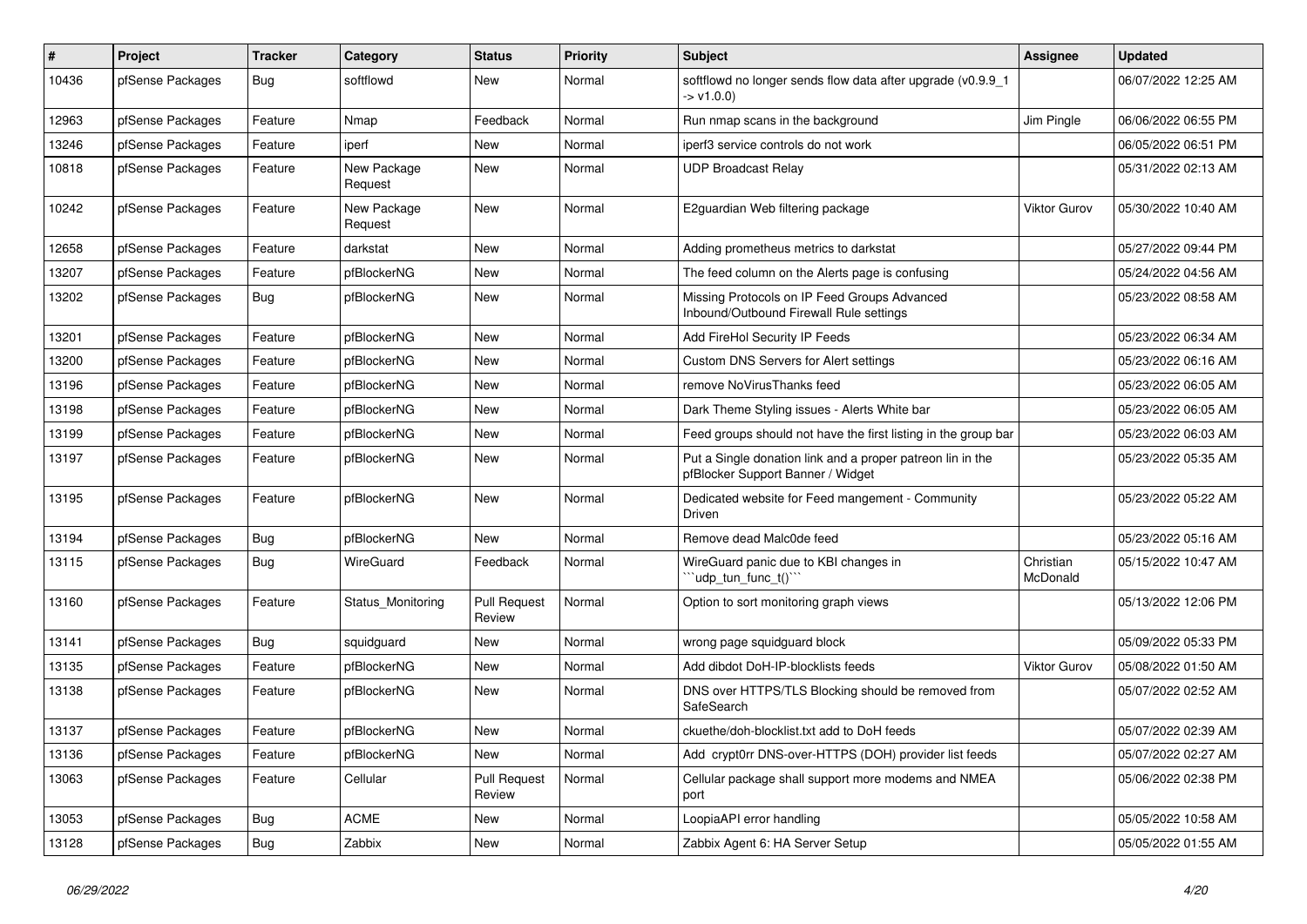| #     | Project          | <b>Tracker</b> | Category               | <b>Status</b>                 | <b>Priority</b> | Subject                                                                                         | <b>Assignee</b>       | <b>Updated</b>      |
|-------|------------------|----------------|------------------------|-------------------------------|-----------------|-------------------------------------------------------------------------------------------------|-----------------------|---------------------|
| 10436 | pfSense Packages | <b>Bug</b>     | softflowd              | New                           | Normal          | softflowd no longer sends flow data after upgrade (v0.9.9_1<br>-> v1.0.0)                       |                       | 06/07/2022 12:25 AM |
| 12963 | pfSense Packages | Feature        | Nmap                   | Feedback                      | Normal          | Run nmap scans in the background                                                                | Jim Pingle            | 06/06/2022 06:55 PM |
| 13246 | pfSense Packages | Feature        | iperf                  | <b>New</b>                    | Normal          | iperf3 service controls do not work                                                             |                       | 06/05/2022 06:51 PM |
| 10818 | pfSense Packages | Feature        | New Package<br>Request | <b>New</b>                    | Normal          | <b>UDP Broadcast Relay</b>                                                                      |                       | 05/31/2022 02:13 AM |
| 10242 | pfSense Packages | Feature        | New Package<br>Request | New                           | Normal          | E2quardian Web filtering package                                                                | <b>Viktor Gurov</b>   | 05/30/2022 10:40 AM |
| 12658 | pfSense Packages | Feature        | darkstat               | <b>New</b>                    | Normal          | Adding prometheus metrics to darkstat                                                           |                       | 05/27/2022 09:44 PM |
| 13207 | pfSense Packages | Feature        | pfBlockerNG            | <b>New</b>                    | Normal          | The feed column on the Alerts page is confusing                                                 |                       | 05/24/2022 04:56 AM |
| 13202 | pfSense Packages | <b>Bug</b>     | pfBlockerNG            | New                           | Normal          | Missing Protocols on IP Feed Groups Advanced<br>Inbound/Outbound Firewall Rule settings         |                       | 05/23/2022 08:58 AM |
| 13201 | pfSense Packages | Feature        | pfBlockerNG            | <b>New</b>                    | Normal          | Add FireHol Security IP Feeds                                                                   |                       | 05/23/2022 06:34 AM |
| 13200 | pfSense Packages | Feature        | pfBlockerNG            | New                           | Normal          | <b>Custom DNS Servers for Alert settings</b>                                                    |                       | 05/23/2022 06:16 AM |
| 13196 | pfSense Packages | Feature        | pfBlockerNG            | <b>New</b>                    | Normal          | remove NoVirusThanks feed                                                                       |                       | 05/23/2022 06:05 AM |
| 13198 | pfSense Packages | Feature        | pfBlockerNG            | <b>New</b>                    | Normal          | Dark Theme Styling issues - Alerts White bar                                                    |                       | 05/23/2022 06:05 AM |
| 13199 | pfSense Packages | Feature        | pfBlockerNG            | <b>New</b>                    | Normal          | Feed groups should not have the first listing in the group bar                                  |                       | 05/23/2022 06:03 AM |
| 13197 | pfSense Packages | Feature        | pfBlockerNG            | <b>New</b>                    | Normal          | Put a Single donation link and a proper patreon lin in the<br>pfBlocker Support Banner / Widget |                       | 05/23/2022 05:35 AM |
| 13195 | pfSense Packages | Feature        | pfBlockerNG            | <b>New</b>                    | Normal          | Dedicated website for Feed mangement - Community<br><b>Driven</b>                               |                       | 05/23/2022 05:22 AM |
| 13194 | pfSense Packages | Bug            | pfBlockerNG            | New                           | Normal          | Remove dead Malc0de feed                                                                        |                       | 05/23/2022 05:16 AM |
| 13115 | pfSense Packages | Bug            | WireGuard              | Feedback                      | Normal          | WireGuard panic due to KBI changes in<br>''udp_tun_func_t()'''                                  | Christian<br>McDonald | 05/15/2022 10:47 AM |
| 13160 | pfSense Packages | Feature        | Status Monitoring      | <b>Pull Request</b><br>Review | Normal          | Option to sort monitoring graph views                                                           |                       | 05/13/2022 12:06 PM |
| 13141 | pfSense Packages | <b>Bug</b>     | squidquard             | <b>New</b>                    | Normal          | wrong page squidguard block                                                                     |                       | 05/09/2022 05:33 PM |
| 13135 | pfSense Packages | Feature        | pfBlockerNG            | New                           | Normal          | Add dibdot DoH-IP-blocklists feeds                                                              | <b>Viktor Gurov</b>   | 05/08/2022 01:50 AM |
| 13138 | pfSense Packages | Feature        | pfBlockerNG            | New                           | Normal          | DNS over HTTPS/TLS Blocking should be removed from<br>SafeSearch                                |                       | 05/07/2022 02:52 AM |
| 13137 | pfSense Packages | Feature        | pfBlockerNG            | New                           | Normal          | ckuethe/doh-blocklist.txt add to DoH feeds                                                      |                       | 05/07/2022 02:39 AM |
| 13136 | pfSense Packages | Feature        | pfBlockerNG            | New                           | Normal          | Add crypt0rr DNS-over-HTTPS (DOH) provider list feeds                                           |                       | 05/07/2022 02:27 AM |
| 13063 | pfSense Packages | Feature        | Cellular               | <b>Pull Request</b><br>Review | Normal          | Cellular package shall support more modems and NMEA<br>port                                     |                       | 05/06/2022 02:38 PM |
| 13053 | pfSense Packages | Bug            | <b>ACME</b>            | New                           | Normal          | LoopiaAPI error handling                                                                        |                       | 05/05/2022 10:58 AM |
| 13128 | pfSense Packages | <b>Bug</b>     | Zabbix                 | New                           | Normal          | Zabbix Agent 6: HA Server Setup                                                                 |                       | 05/05/2022 01:55 AM |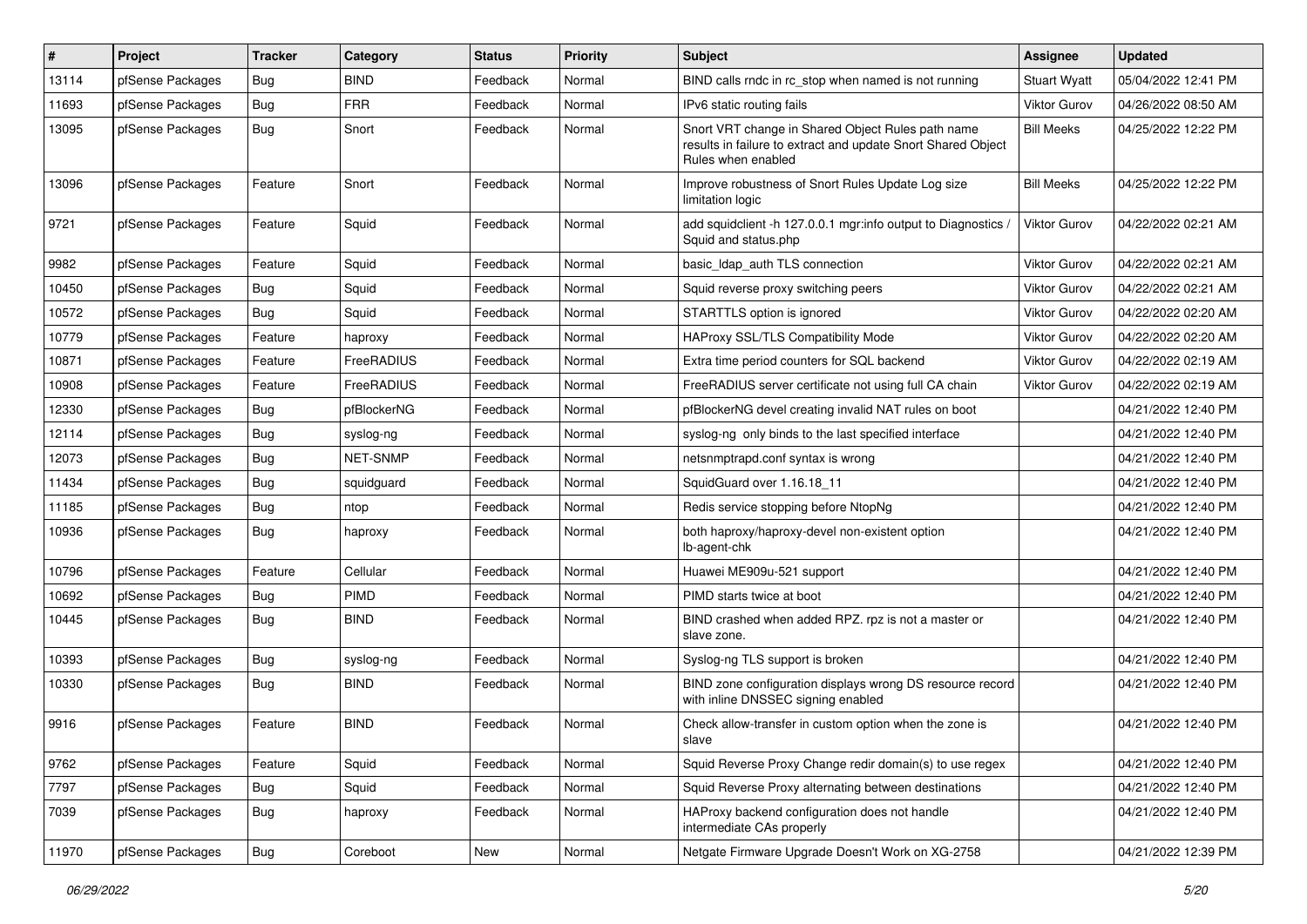| #     | Project          | <b>Tracker</b> | Category        | <b>Status</b> | <b>Priority</b> | Subject                                                                                                                                 | <b>Assignee</b>     | <b>Updated</b>      |
|-------|------------------|----------------|-----------------|---------------|-----------------|-----------------------------------------------------------------------------------------------------------------------------------------|---------------------|---------------------|
| 13114 | pfSense Packages | <b>Bug</b>     | <b>BIND</b>     | Feedback      | Normal          | BIND calls rndc in rc stop when named is not running                                                                                    | <b>Stuart Wyatt</b> | 05/04/2022 12:41 PM |
| 11693 | pfSense Packages | <b>Bug</b>     | <b>FRR</b>      | Feedback      | Normal          | IPv6 static routing fails                                                                                                               | <b>Viktor Gurov</b> | 04/26/2022 08:50 AM |
| 13095 | pfSense Packages | Bug            | Snort           | Feedback      | Normal          | Snort VRT change in Shared Object Rules path name<br>results in failure to extract and update Snort Shared Object<br>Rules when enabled | <b>Bill Meeks</b>   | 04/25/2022 12:22 PM |
| 13096 | pfSense Packages | Feature        | Snort           | Feedback      | Normal          | Improve robustness of Snort Rules Update Log size<br>limitation logic                                                                   | <b>Bill Meeks</b>   | 04/25/2022 12:22 PM |
| 9721  | pfSense Packages | Feature        | Squid           | Feedback      | Normal          | add squidclient -h 127.0.0.1 mgr:info output to Diagnostics /<br>Squid and status.php                                                   | <b>Viktor Gurov</b> | 04/22/2022 02:21 AM |
| 9982  | pfSense Packages | Feature        | Squid           | Feedback      | Normal          | basic Idap auth TLS connection                                                                                                          | <b>Viktor Gurov</b> | 04/22/2022 02:21 AM |
| 10450 | pfSense Packages | <b>Bug</b>     | Squid           | Feedback      | Normal          | Squid reverse proxy switching peers                                                                                                     | <b>Viktor Gurov</b> | 04/22/2022 02:21 AM |
| 10572 | pfSense Packages | Bug            | Squid           | Feedback      | Normal          | STARTTLS option is ignored                                                                                                              | <b>Viktor Gurov</b> | 04/22/2022 02:20 AM |
| 10779 | pfSense Packages | Feature        | haproxy         | Feedback      | Normal          | HAProxy SSL/TLS Compatibility Mode                                                                                                      | Viktor Gurov        | 04/22/2022 02:20 AM |
| 10871 | pfSense Packages | Feature        | FreeRADIUS      | Feedback      | Normal          | Extra time period counters for SQL backend                                                                                              | <b>Viktor Gurov</b> | 04/22/2022 02:19 AM |
| 10908 | pfSense Packages | Feature        | FreeRADIUS      | Feedback      | Normal          | FreeRADIUS server certificate not using full CA chain                                                                                   | <b>Viktor Gurov</b> | 04/22/2022 02:19 AM |
| 12330 | pfSense Packages | <b>Bug</b>     | pfBlockerNG     | Feedback      | Normal          | pfBlockerNG devel creating invalid NAT rules on boot                                                                                    |                     | 04/21/2022 12:40 PM |
| 12114 | pfSense Packages | Bug            | syslog-ng       | Feedback      | Normal          | syslog-ng only binds to the last specified interface                                                                                    |                     | 04/21/2022 12:40 PM |
| 12073 | pfSense Packages | <b>Bug</b>     | <b>NET-SNMP</b> | Feedback      | Normal          | netsnmptrapd.conf syntax is wrong                                                                                                       |                     | 04/21/2022 12:40 PM |
| 11434 | pfSense Packages | <b>Bug</b>     | squidguard      | Feedback      | Normal          | SquidGuard over 1.16.18 11                                                                                                              |                     | 04/21/2022 12:40 PM |
| 11185 | pfSense Packages | <b>Bug</b>     | ntop            | Feedback      | Normal          | Redis service stopping before NtopNg                                                                                                    |                     | 04/21/2022 12:40 PM |
| 10936 | pfSense Packages | Bug            | haproxy         | Feedback      | Normal          | both haproxy/haproxy-devel non-existent option<br>lb-agent-chk                                                                          |                     | 04/21/2022 12:40 PM |
| 10796 | pfSense Packages | Feature        | Cellular        | Feedback      | Normal          | Huawei ME909u-521 support                                                                                                               |                     | 04/21/2022 12:40 PM |
| 10692 | pfSense Packages | <b>Bug</b>     | PIMD            | Feedback      | Normal          | PIMD starts twice at boot                                                                                                               |                     | 04/21/2022 12:40 PM |
| 10445 | pfSense Packages | Bug            | <b>BIND</b>     | Feedback      | Normal          | BIND crashed when added RPZ. rpz is not a master or<br>slave zone.                                                                      |                     | 04/21/2022 12:40 PM |
| 10393 | pfSense Packages | <b>Bug</b>     | syslog-ng       | Feedback      | Normal          | Syslog-ng TLS support is broken                                                                                                         |                     | 04/21/2022 12:40 PM |
| 10330 | pfSense Packages | Bug            | <b>BIND</b>     | Feedback      | Normal          | BIND zone configuration displays wrong DS resource record<br>with inline DNSSEC signing enabled                                         |                     | 04/21/2022 12:40 PM |
| 9916  | pfSense Packages | Feature        | <b>BIND</b>     | Feedback      | Normal          | Check allow-transfer in custom option when the zone is<br>slave                                                                         |                     | 04/21/2022 12:40 PM |
| 9762  | pfSense Packages | Feature        | Squid           | Feedback      | Normal          | Squid Reverse Proxy Change redir domain(s) to use regex                                                                                 |                     | 04/21/2022 12:40 PM |
| 7797  | pfSense Packages | Bug            | Squid           | Feedback      | Normal          | Squid Reverse Proxy alternating between destinations                                                                                    |                     | 04/21/2022 12:40 PM |
| 7039  | pfSense Packages | Bug            | haproxy         | Feedback      | Normal          | HAProxy backend configuration does not handle<br>intermediate CAs properly                                                              |                     | 04/21/2022 12:40 PM |
| 11970 | pfSense Packages | Bug            | Coreboot        | New           | Normal          | Netgate Firmware Upgrade Doesn't Work on XG-2758                                                                                        |                     | 04/21/2022 12:39 PM |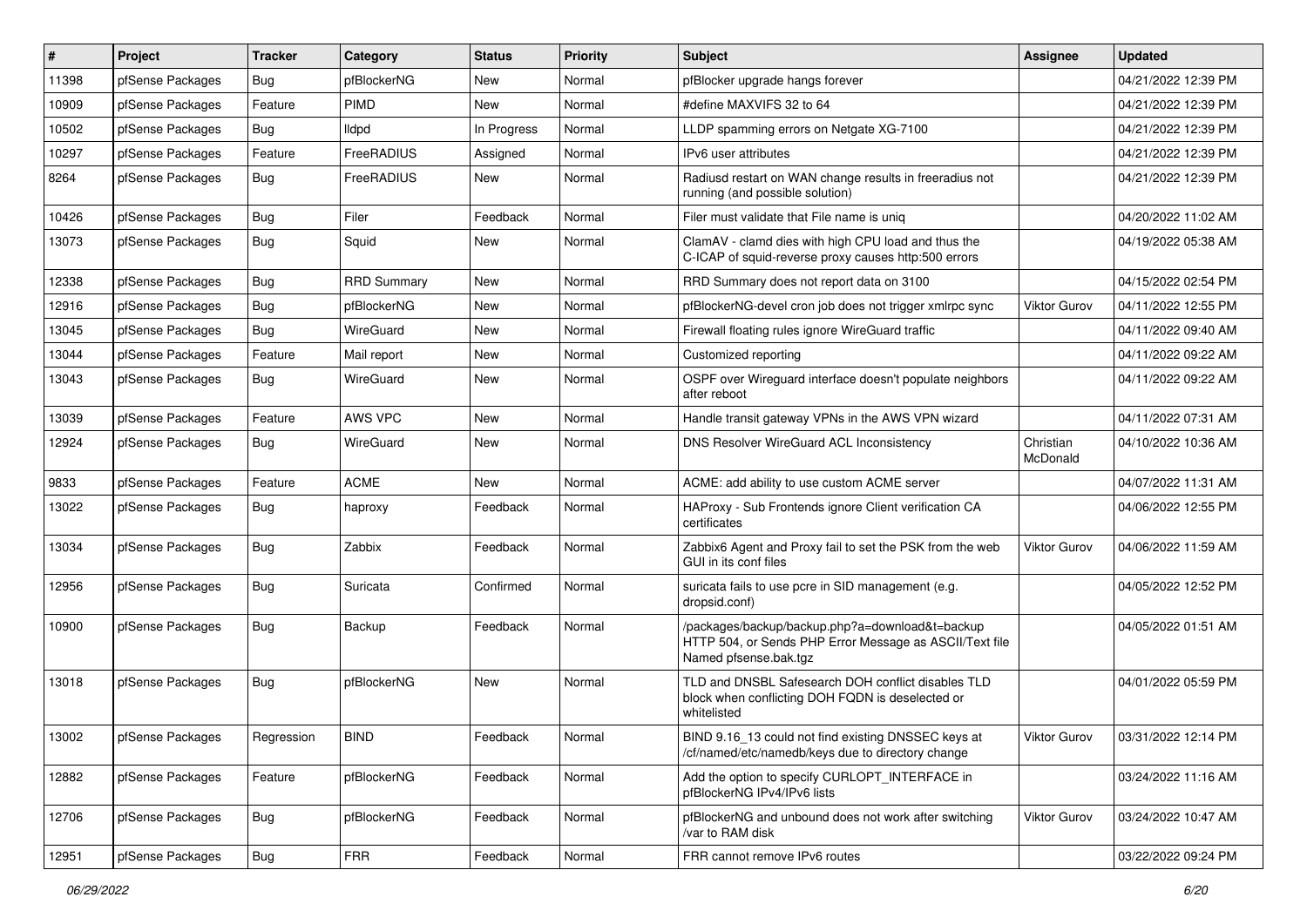| #     | Project          | Tracker    | Category           | <b>Status</b> | <b>Priority</b> | <b>Subject</b>                                                                                                                      | <b>Assignee</b>       | <b>Updated</b>      |
|-------|------------------|------------|--------------------|---------------|-----------------|-------------------------------------------------------------------------------------------------------------------------------------|-----------------------|---------------------|
| 11398 | pfSense Packages | Bug        | pfBlockerNG        | New           | Normal          | pfBlocker upgrade hangs forever                                                                                                     |                       | 04/21/2022 12:39 PM |
| 10909 | pfSense Packages | Feature    | PIMD               | New           | Normal          | #define MAXVIFS 32 to 64                                                                                                            |                       | 04/21/2022 12:39 PM |
| 10502 | pfSense Packages | Bug        | <b>Ildpd</b>       | In Progress   | Normal          | LLDP spamming errors on Netgate XG-7100                                                                                             |                       | 04/21/2022 12:39 PM |
| 10297 | pfSense Packages | Feature    | FreeRADIUS         | Assigned      | Normal          | IPv6 user attributes                                                                                                                |                       | 04/21/2022 12:39 PM |
| 8264  | pfSense Packages | <b>Bug</b> | FreeRADIUS         | <b>New</b>    | Normal          | Radiusd restart on WAN change results in freeradius not<br>running (and possible solution)                                          |                       | 04/21/2022 12:39 PM |
| 10426 | pfSense Packages | <b>Bug</b> | Filer              | Feedback      | Normal          | Filer must validate that File name is uniq                                                                                          |                       | 04/20/2022 11:02 AM |
| 13073 | pfSense Packages | Bug        | Squid              | New           | Normal          | ClamAV - clamd dies with high CPU load and thus the<br>C-ICAP of squid-reverse proxy causes http:500 errors                         |                       | 04/19/2022 05:38 AM |
| 12338 | pfSense Packages | <b>Bug</b> | <b>RRD Summary</b> | New           | Normal          | RRD Summary does not report data on 3100                                                                                            |                       | 04/15/2022 02:54 PM |
| 12916 | pfSense Packages | Bug        | pfBlockerNG        | New           | Normal          | pfBlockerNG-devel cron job does not trigger xmlrpc sync                                                                             | <b>Viktor Gurov</b>   | 04/11/2022 12:55 PM |
| 13045 | pfSense Packages | Bug        | WireGuard          | New           | Normal          | Firewall floating rules ignore WireGuard traffic                                                                                    |                       | 04/11/2022 09:40 AM |
| 13044 | pfSense Packages | Feature    | Mail report        | New           | Normal          | Customized reporting                                                                                                                |                       | 04/11/2022 09:22 AM |
| 13043 | pfSense Packages | <b>Bug</b> | WireGuard          | New           | Normal          | OSPF over Wirequard interface doesn't populate neighbors<br>after reboot                                                            |                       | 04/11/2022 09:22 AM |
| 13039 | pfSense Packages | Feature    | AWS VPC            | New           | Normal          | Handle transit gateway VPNs in the AWS VPN wizard                                                                                   |                       | 04/11/2022 07:31 AM |
| 12924 | pfSense Packages | <b>Bug</b> | WireGuard          | New           | Normal          | DNS Resolver WireGuard ACL Inconsistency                                                                                            | Christian<br>McDonald | 04/10/2022 10:36 AM |
| 9833  | pfSense Packages | Feature    | <b>ACME</b>        | New           | Normal          | ACME: add ability to use custom ACME server                                                                                         |                       | 04/07/2022 11:31 AM |
| 13022 | pfSense Packages | Bug        | haproxy            | Feedback      | Normal          | HAProxy - Sub Frontends ignore Client verification CA<br>certificates                                                               |                       | 04/06/2022 12:55 PM |
| 13034 | pfSense Packages | <b>Bug</b> | Zabbix             | Feedback      | Normal          | Zabbix6 Agent and Proxy fail to set the PSK from the web<br>GUI in its conf files                                                   | <b>Viktor Gurov</b>   | 04/06/2022 11:59 AM |
| 12956 | pfSense Packages | Bug        | Suricata           | Confirmed     | Normal          | suricata fails to use pcre in SID management (e.g.<br>dropsid.conf)                                                                 |                       | 04/05/2022 12:52 PM |
| 10900 | pfSense Packages | <b>Bug</b> | Backup             | Feedback      | Normal          | /packages/backup/backup.php?a=download&t=backup<br>HTTP 504, or Sends PHP Error Message as ASCII/Text file<br>Named pfsense.bak.tgz |                       | 04/05/2022 01:51 AM |
| 13018 | pfSense Packages | <b>Bug</b> | pfBlockerNG        | New           | Normal          | TLD and DNSBL Safesearch DOH conflict disables TLD<br>block when conflicting DOH FQDN is deselected or<br>whitelisted               |                       | 04/01/2022 05:59 PM |
| 13002 | pfSense Packages | Regression | <b>BIND</b>        | Feedback      | Normal          | BIND 9.16_13 could not find existing DNSSEC keys at<br>/cf/named/etc/namedb/keys due to directory change                            | Viktor Gurov          | 03/31/2022 12:14 PM |
| 12882 | pfSense Packages | Feature    | pfBlockerNG        | Feedback      | Normal          | Add the option to specify CURLOPT INTERFACE in<br>pfBlockerNG IPv4/IPv6 lists                                                       |                       | 03/24/2022 11:16 AM |
| 12706 | pfSense Packages | <b>Bug</b> | pfBlockerNG        | Feedback      | Normal          | pfBlockerNG and unbound does not work after switching<br>/var to RAM disk                                                           | <b>Viktor Gurov</b>   | 03/24/2022 10:47 AM |
| 12951 | pfSense Packages | Bug        | <b>FRR</b>         | Feedback      | Normal          | FRR cannot remove IPv6 routes                                                                                                       |                       | 03/22/2022 09:24 PM |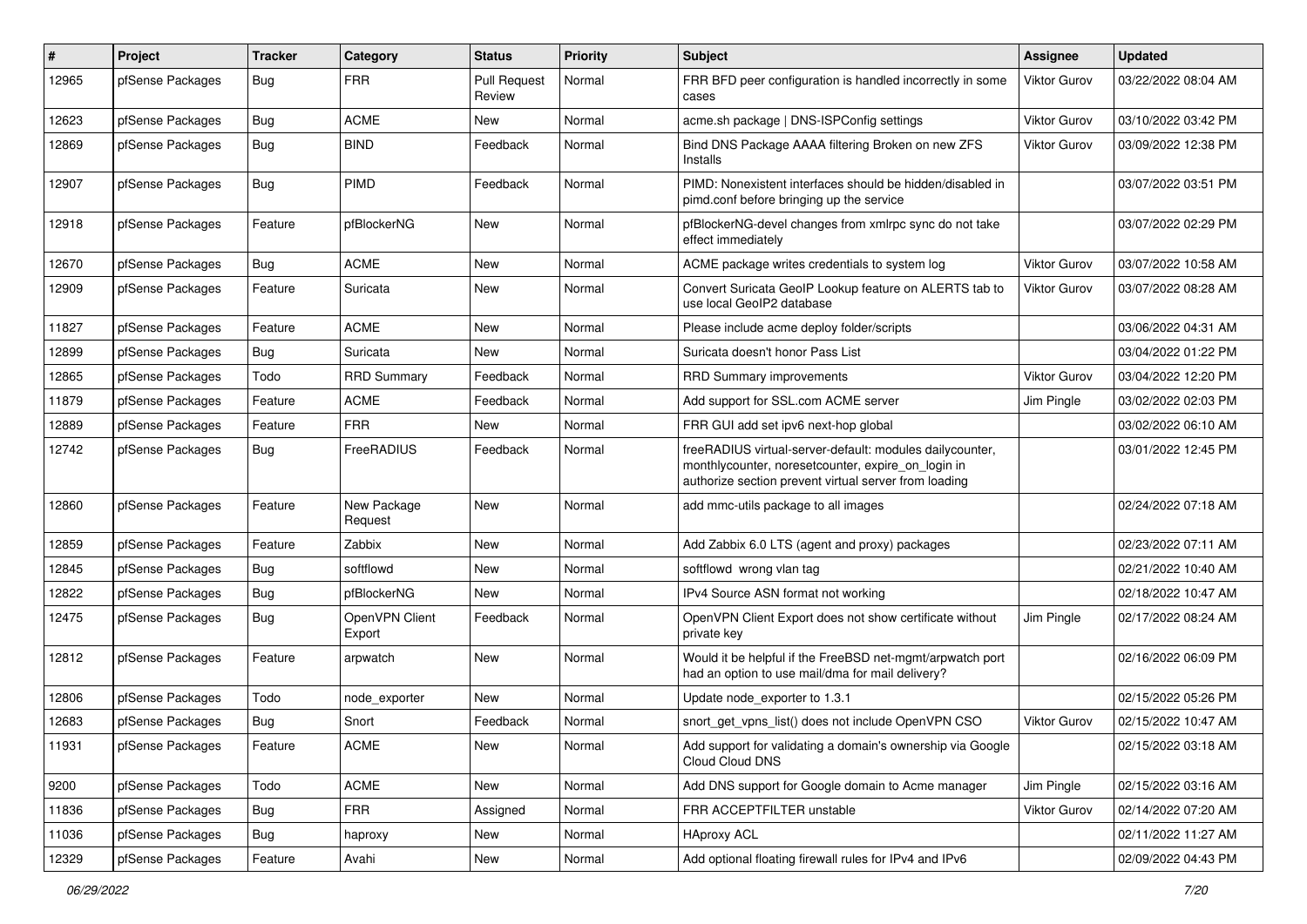| #     | Project          | Tracker    | Category                 | <b>Status</b>                 | <b>Priority</b> | Subject                                                                                                                                                                 | Assignee            | <b>Updated</b>      |
|-------|------------------|------------|--------------------------|-------------------------------|-----------------|-------------------------------------------------------------------------------------------------------------------------------------------------------------------------|---------------------|---------------------|
| 12965 | pfSense Packages | <b>Bug</b> | <b>FRR</b>               | <b>Pull Request</b><br>Review | Normal          | FRR BFD peer configuration is handled incorrectly in some<br>cases                                                                                                      | <b>Viktor Gurov</b> | 03/22/2022 08:04 AM |
| 12623 | pfSense Packages | Bug        | <b>ACME</b>              | <b>New</b>                    | Normal          | acme.sh package   DNS-ISPConfig settings                                                                                                                                | Viktor Gurov        | 03/10/2022 03:42 PM |
| 12869 | pfSense Packages | Bug        | <b>BIND</b>              | Feedback                      | Normal          | Bind DNS Package AAAA filtering Broken on new ZFS<br>Installs                                                                                                           | <b>Viktor Gurov</b> | 03/09/2022 12:38 PM |
| 12907 | pfSense Packages | Bug        | PIMD                     | Feedback                      | Normal          | PIMD: Nonexistent interfaces should be hidden/disabled in<br>pimd.conf before bringing up the service                                                                   |                     | 03/07/2022 03:51 PM |
| 12918 | pfSense Packages | Feature    | pfBlockerNG              | <b>New</b>                    | Normal          | pfBlockerNG-devel changes from xmlrpc sync do not take<br>effect immediately                                                                                            |                     | 03/07/2022 02:29 PM |
| 12670 | pfSense Packages | <b>Bug</b> | <b>ACME</b>              | <b>New</b>                    | Normal          | ACME package writes credentials to system log                                                                                                                           | <b>Viktor Gurov</b> | 03/07/2022 10:58 AM |
| 12909 | pfSense Packages | Feature    | Suricata                 | New                           | Normal          | Convert Suricata GeoIP Lookup feature on ALERTS tab to<br>use local GeoIP2 database                                                                                     | Viktor Gurov        | 03/07/2022 08:28 AM |
| 11827 | pfSense Packages | Feature    | <b>ACME</b>              | <b>New</b>                    | Normal          | Please include acme deploy folder/scripts                                                                                                                               |                     | 03/06/2022 04:31 AM |
| 12899 | pfSense Packages | <b>Bug</b> | Suricata                 | <b>New</b>                    | Normal          | Suricata doesn't honor Pass List                                                                                                                                        |                     | 03/04/2022 01:22 PM |
| 12865 | pfSense Packages | Todo       | <b>RRD Summary</b>       | Feedback                      | Normal          | <b>RRD Summary improvements</b>                                                                                                                                         | <b>Viktor Gurov</b> | 03/04/2022 12:20 PM |
| 11879 | pfSense Packages | Feature    | <b>ACME</b>              | Feedback                      | Normal          | Add support for SSL.com ACME server                                                                                                                                     | Jim Pingle          | 03/02/2022 02:03 PM |
| 12889 | pfSense Packages | Feature    | <b>FRR</b>               | New                           | Normal          | FRR GUI add set ipv6 next-hop global                                                                                                                                    |                     | 03/02/2022 06:10 AM |
| 12742 | pfSense Packages | <b>Bug</b> | FreeRADIUS               | Feedback                      | Normal          | freeRADIUS virtual-server-default: modules dailycounter,<br>monthlycounter, noresetcounter, expire_on_login in<br>authorize section prevent virtual server from loading |                     | 03/01/2022 12:45 PM |
| 12860 | pfSense Packages | Feature    | New Package<br>Request   | <b>New</b>                    | Normal          | add mmc-utils package to all images                                                                                                                                     |                     | 02/24/2022 07:18 AM |
| 12859 | pfSense Packages | Feature    | Zabbix                   | <b>New</b>                    | Normal          | Add Zabbix 6.0 LTS (agent and proxy) packages                                                                                                                           |                     | 02/23/2022 07:11 AM |
| 12845 | pfSense Packages | <b>Bug</b> | softflowd                | <b>New</b>                    | Normal          | softflowd wrong vlan tag                                                                                                                                                |                     | 02/21/2022 10:40 AM |
| 12822 | pfSense Packages | Bug        | pfBlockerNG              | New                           | Normal          | IPv4 Source ASN format not working                                                                                                                                      |                     | 02/18/2022 10:47 AM |
| 12475 | pfSense Packages | <b>Bug</b> | OpenVPN Client<br>Export | Feedback                      | Normal          | OpenVPN Client Export does not show certificate without<br>private key                                                                                                  | Jim Pingle          | 02/17/2022 08:24 AM |
| 12812 | pfSense Packages | Feature    | arpwatch                 | <b>New</b>                    | Normal          | Would it be helpful if the FreeBSD net-mgmt/arpwatch port<br>had an option to use mail/dma for mail delivery?                                                           |                     | 02/16/2022 06:09 PM |
| 12806 | pfSense Packages | Todo       | node exporter            | <b>New</b>                    | Normal          | Update node exporter to 1.3.1                                                                                                                                           |                     | 02/15/2022 05:26 PM |
| 12683 | pfSense Packages | <b>Bug</b> | Snort                    | Feedback                      | Normal          | snort_get_vpns_list() does not include OpenVPN CSO                                                                                                                      | <b>Viktor Gurov</b> | 02/15/2022 10:47 AM |
| 11931 | pfSense Packages | Feature    | ACME                     | New                           | Normal          | Add support for validating a domain's ownership via Google<br>Cloud Cloud DNS                                                                                           |                     | 02/15/2022 03:18 AM |
| 9200  | pfSense Packages | Todo       | ACME                     | New                           | Normal          | Add DNS support for Google domain to Acme manager                                                                                                                       | Jim Pingle          | 02/15/2022 03:16 AM |
| 11836 | pfSense Packages | <b>Bug</b> | <b>FRR</b>               | Assigned                      | Normal          | FRR ACCEPTFILTER unstable                                                                                                                                               | Viktor Gurov        | 02/14/2022 07:20 AM |
| 11036 | pfSense Packages | Bug        | haproxy                  | New                           | Normal          | <b>HAproxy ACL</b>                                                                                                                                                      |                     | 02/11/2022 11:27 AM |
| 12329 | pfSense Packages | Feature    | Avahi                    | New                           | Normal          | Add optional floating firewall rules for IPv4 and IPv6                                                                                                                  |                     | 02/09/2022 04:43 PM |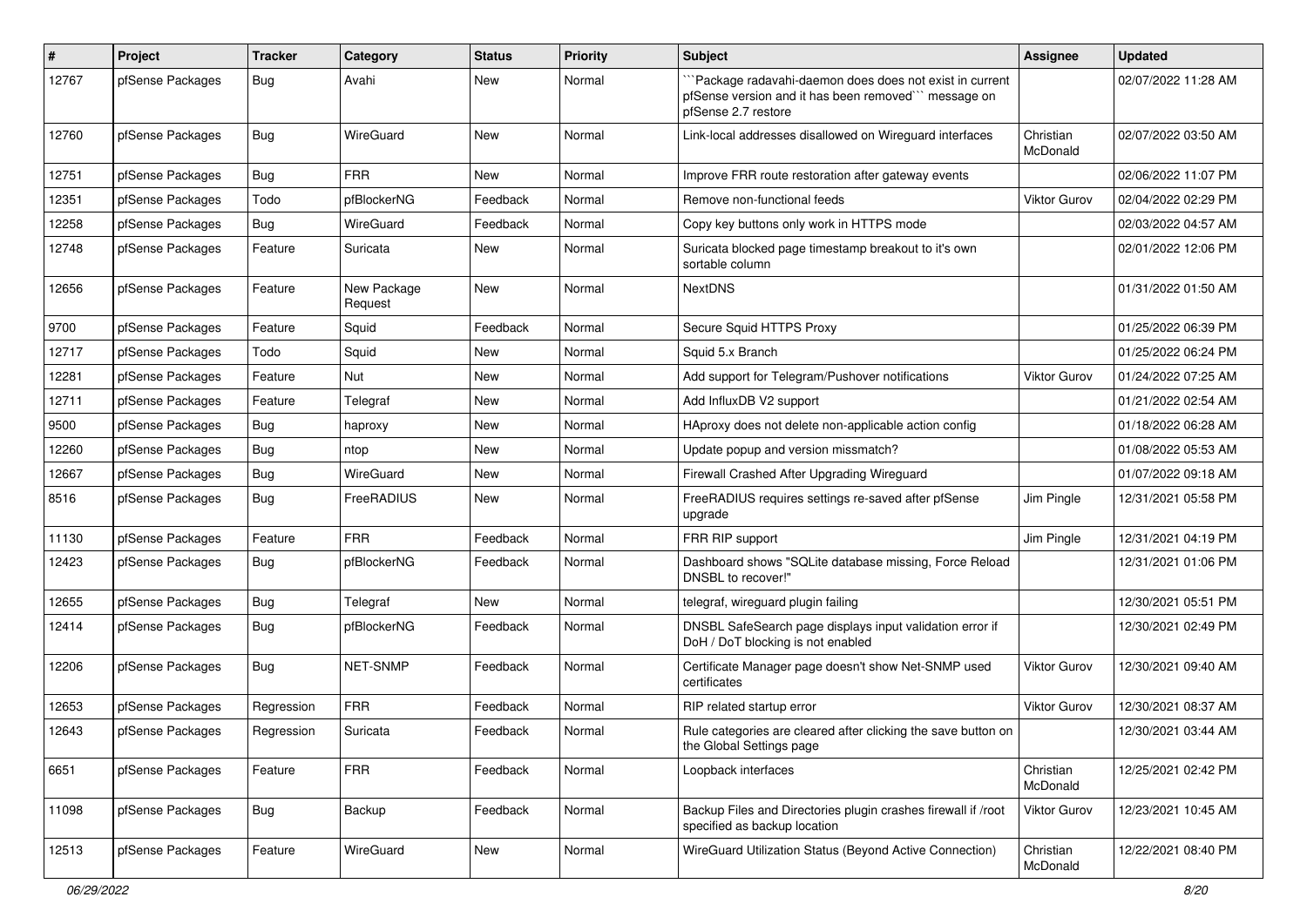| #     | Project          | <b>Tracker</b> | Category               | <b>Status</b> | <b>Priority</b> | <b>Subject</b>                                                                                                                        | Assignee              | <b>Updated</b>      |
|-------|------------------|----------------|------------------------|---------------|-----------------|---------------------------------------------------------------------------------------------------------------------------------------|-----------------------|---------------------|
| 12767 | pfSense Packages | Bug            | Avahi                  | New           | Normal          | 'Package radavahi-daemon does does not exist in current<br>pfSense version and it has been removed" message on<br>pfSense 2.7 restore |                       | 02/07/2022 11:28 AM |
| 12760 | pfSense Packages | <b>Bug</b>     | WireGuard              | <b>New</b>    | Normal          | Link-local addresses disallowed on Wireguard interfaces                                                                               | Christian<br>McDonald | 02/07/2022 03:50 AM |
| 12751 | pfSense Packages | Bug            | <b>FRR</b>             | <b>New</b>    | Normal          | Improve FRR route restoration after gateway events                                                                                    |                       | 02/06/2022 11:07 PM |
| 12351 | pfSense Packages | Todo           | pfBlockerNG            | Feedback      | Normal          | Remove non-functional feeds                                                                                                           | Viktor Gurov          | 02/04/2022 02:29 PM |
| 12258 | pfSense Packages | Bug            | WireGuard              | Feedback      | Normal          | Copy key buttons only work in HTTPS mode                                                                                              |                       | 02/03/2022 04:57 AM |
| 12748 | pfSense Packages | Feature        | Suricata               | New           | Normal          | Suricata blocked page timestamp breakout to it's own<br>sortable column                                                               |                       | 02/01/2022 12:06 PM |
| 12656 | pfSense Packages | Feature        | New Package<br>Request | New           | Normal          | <b>NextDNS</b>                                                                                                                        |                       | 01/31/2022 01:50 AM |
| 9700  | pfSense Packages | Feature        | Squid                  | Feedback      | Normal          | Secure Squid HTTPS Proxy                                                                                                              |                       | 01/25/2022 06:39 PM |
| 12717 | pfSense Packages | Todo           | Squid                  | New           | Normal          | Squid 5.x Branch                                                                                                                      |                       | 01/25/2022 06:24 PM |
| 12281 | pfSense Packages | Feature        | Nut                    | New           | Normal          | Add support for Telegram/Pushover notifications                                                                                       | <b>Viktor Gurov</b>   | 01/24/2022 07:25 AM |
| 12711 | pfSense Packages | Feature        | Telegraf               | <b>New</b>    | Normal          | Add InfluxDB V2 support                                                                                                               |                       | 01/21/2022 02:54 AM |
| 9500  | pfSense Packages | <b>Bug</b>     | haproxy                | New           | Normal          | HAproxy does not delete non-applicable action config                                                                                  |                       | 01/18/2022 06:28 AM |
| 12260 | pfSense Packages | Bug            | ntop                   | <b>New</b>    | Normal          | Update popup and version missmatch?                                                                                                   |                       | 01/08/2022 05:53 AM |
| 12667 | pfSense Packages | <b>Bug</b>     | WireGuard              | New           | Normal          | Firewall Crashed After Upgrading Wireguard                                                                                            |                       | 01/07/2022 09:18 AM |
| 8516  | pfSense Packages | <b>Bug</b>     | FreeRADIUS             | New           | Normal          | FreeRADIUS requires settings re-saved after pfSense<br>upgrade                                                                        | Jim Pingle            | 12/31/2021 05:58 PM |
| 11130 | pfSense Packages | Feature        | <b>FRR</b>             | Feedback      | Normal          | FRR RIP support                                                                                                                       | Jim Pingle            | 12/31/2021 04:19 PM |
| 12423 | pfSense Packages | <b>Bug</b>     | pfBlockerNG            | Feedback      | Normal          | Dashboard shows "SQLite database missing, Force Reload<br>DNSBL to recover!"                                                          |                       | 12/31/2021 01:06 PM |
| 12655 | pfSense Packages | <b>Bug</b>     | Telegraf               | New           | Normal          | telegraf, wireguard plugin failing                                                                                                    |                       | 12/30/2021 05:51 PM |
| 12414 | pfSense Packages | <b>Bug</b>     | pfBlockerNG            | Feedback      | Normal          | DNSBL SafeSearch page displays input validation error if<br>DoH / DoT blocking is not enabled                                         |                       | 12/30/2021 02:49 PM |
| 12206 | pfSense Packages | <b>Bug</b>     | <b>NET-SNMP</b>        | Feedback      | Normal          | Certificate Manager page doesn't show Net-SNMP used<br>certificates                                                                   | Viktor Gurov          | 12/30/2021 09:40 AM |
| 12653 | pfSense Packages | Regression     | <b>FRR</b>             | Feedback      | Normal          | RIP related startup error                                                                                                             | Viktor Gurov          | 12/30/2021 08:37 AM |
| 12643 | pfSense Packages | Regression     | Suricata               | Feedback      | Normal          | Rule categories are cleared after clicking the save button on<br>the Global Settings page                                             |                       | 12/30/2021 03:44 AM |
| 6651  | pfSense Packages | Feature        | <b>FRR</b>             | Feedback      | Normal          | Loopback interfaces                                                                                                                   | Christian<br>McDonald | 12/25/2021 02:42 PM |
| 11098 | pfSense Packages | <b>Bug</b>     | Backup                 | Feedback      | Normal          | Backup Files and Directories plugin crashes firewall if /root<br>specified as backup location                                         | Viktor Gurov          | 12/23/2021 10:45 AM |
| 12513 | pfSense Packages | Feature        | WireGuard              | New           | Normal          | WireGuard Utilization Status (Beyond Active Connection)                                                                               | Christian<br>McDonald | 12/22/2021 08:40 PM |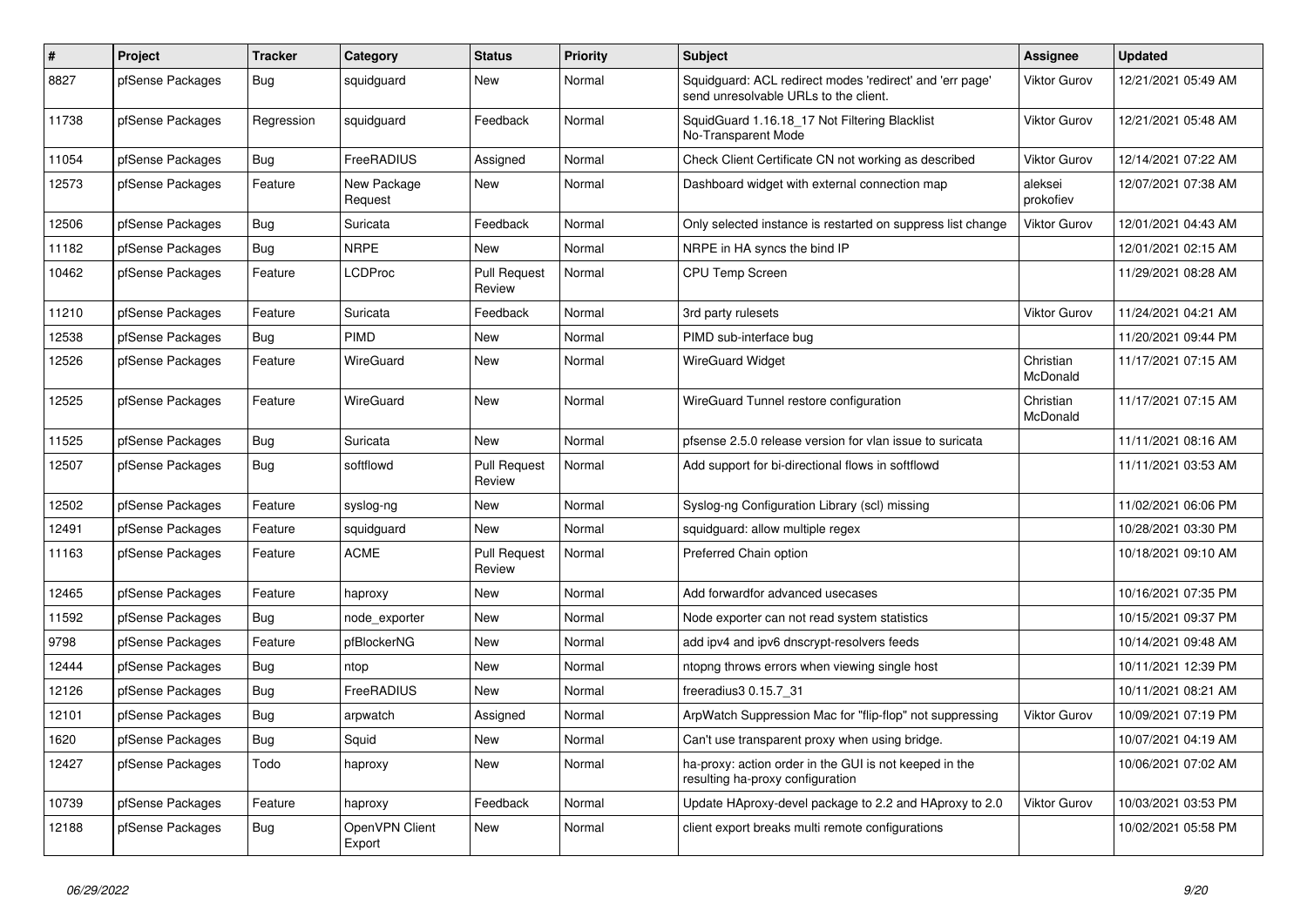| #     | <b>Project</b>   | <b>Tracker</b> | Category                 | <b>Status</b>                 | <b>Priority</b> | <b>Subject</b>                                                                                    | Assignee              | <b>Updated</b>      |
|-------|------------------|----------------|--------------------------|-------------------------------|-----------------|---------------------------------------------------------------------------------------------------|-----------------------|---------------------|
| 8827  | pfSense Packages | Bug            | squidguard               | New                           | Normal          | Squidguard: ACL redirect modes 'redirect' and 'err page'<br>send unresolvable URLs to the client. | <b>Viktor Gurov</b>   | 12/21/2021 05:49 AM |
| 11738 | pfSense Packages | Regression     | squidguard               | Feedback                      | Normal          | SquidGuard 1.16.18_17 Not Filtering Blacklist<br>No-Transparent Mode                              | <b>Viktor Gurov</b>   | 12/21/2021 05:48 AM |
| 11054 | pfSense Packages | <b>Bug</b>     | FreeRADIUS               | Assigned                      | Normal          | Check Client Certificate CN not working as described                                              | <b>Viktor Gurov</b>   | 12/14/2021 07:22 AM |
| 12573 | pfSense Packages | Feature        | New Package<br>Request   | New                           | Normal          | Dashboard widget with external connection map                                                     | aleksei<br>prokofiev  | 12/07/2021 07:38 AM |
| 12506 | pfSense Packages | Bug            | Suricata                 | Feedback                      | Normal          | Only selected instance is restarted on suppress list change                                       | <b>Viktor Gurov</b>   | 12/01/2021 04:43 AM |
| 11182 | pfSense Packages | Bug            | <b>NRPE</b>              | New                           | Normal          | NRPE in HA syncs the bind IP                                                                      |                       | 12/01/2021 02:15 AM |
| 10462 | pfSense Packages | Feature        | LCDProc                  | <b>Pull Request</b><br>Review | Normal          | <b>CPU Temp Screen</b>                                                                            |                       | 11/29/2021 08:28 AM |
| 11210 | pfSense Packages | Feature        | Suricata                 | Feedback                      | Normal          | 3rd party rulesets                                                                                | <b>Viktor Gurov</b>   | 11/24/2021 04:21 AM |
| 12538 | pfSense Packages | Bug            | PIMD                     | New                           | Normal          | PIMD sub-interface bug                                                                            |                       | 11/20/2021 09:44 PM |
| 12526 | pfSense Packages | Feature        | WireGuard                | <b>New</b>                    | Normal          | <b>WireGuard Widget</b>                                                                           | Christian<br>McDonald | 11/17/2021 07:15 AM |
| 12525 | pfSense Packages | Feature        | WireGuard                | <b>New</b>                    | Normal          | WireGuard Tunnel restore configuration                                                            | Christian<br>McDonald | 11/17/2021 07:15 AM |
| 11525 | pfSense Packages | <b>Bug</b>     | Suricata                 | <b>New</b>                    | Normal          | pfsense 2.5.0 release version for vlan issue to suricata                                          |                       | 11/11/2021 08:16 AM |
| 12507 | pfSense Packages | <b>Bug</b>     | softflowd                | <b>Pull Request</b><br>Review | Normal          | Add support for bi-directional flows in softflowd                                                 |                       | 11/11/2021 03:53 AM |
| 12502 | pfSense Packages | Feature        | syslog-ng                | New                           | Normal          | Syslog-ng Configuration Library (scl) missing                                                     |                       | 11/02/2021 06:06 PM |
| 12491 | pfSense Packages | Feature        | squidguard               | New                           | Normal          | squidguard: allow multiple regex                                                                  |                       | 10/28/2021 03:30 PM |
| 11163 | pfSense Packages | Feature        | <b>ACME</b>              | <b>Pull Request</b><br>Review | Normal          | Preferred Chain option                                                                            |                       | 10/18/2021 09:10 AM |
| 12465 | pfSense Packages | Feature        | haproxy                  | <b>New</b>                    | Normal          | Add forwardfor advanced usecases                                                                  |                       | 10/16/2021 07:35 PM |
| 11592 | pfSense Packages | Bug            | node exporter            | New                           | Normal          | Node exporter can not read system statistics                                                      |                       | 10/15/2021 09:37 PM |
| 9798  | pfSense Packages | Feature        | pfBlockerNG              | New                           | Normal          | add ipv4 and ipv6 dnscrypt-resolvers feeds                                                        |                       | 10/14/2021 09:48 AM |
| 12444 | pfSense Packages | Bug            | ntop                     | <b>New</b>                    | Normal          | ntopng throws errors when viewing single host                                                     |                       | 10/11/2021 12:39 PM |
| 12126 | pfSense Packages | Bug            | FreeRADIUS               | <b>New</b>                    | Normal          | freeradius3 0.15.7 31                                                                             |                       | 10/11/2021 08:21 AM |
| 12101 | pfSense Packages | <b>Bug</b>     | arpwatch                 | Assigned                      | Normal          | ArpWatch Suppression Mac for "flip-flop" not suppressing                                          | Viktor Gurov          | 10/09/2021 07:19 PM |
| 1620  | pfSense Packages | <b>Bug</b>     | Squid                    | <b>New</b>                    | Normal          | Can't use transparent proxy when using bridge.                                                    |                       | 10/07/2021 04:19 AM |
| 12427 | pfSense Packages | Todo           | haproxy                  | <b>New</b>                    | Normal          | ha-proxy: action order in the GUI is not keeped in the<br>resulting ha-proxy configuration        |                       | 10/06/2021 07:02 AM |
| 10739 | pfSense Packages | Feature        | haproxy                  | Feedback                      | Normal          | Update HAproxy-devel package to 2.2 and HAproxy to 2.0                                            | Viktor Gurov          | 10/03/2021 03:53 PM |
| 12188 | pfSense Packages | Bug            | OpenVPN Client<br>Export | <b>New</b>                    | Normal          | client export breaks multi remote configurations                                                  |                       | 10/02/2021 05:58 PM |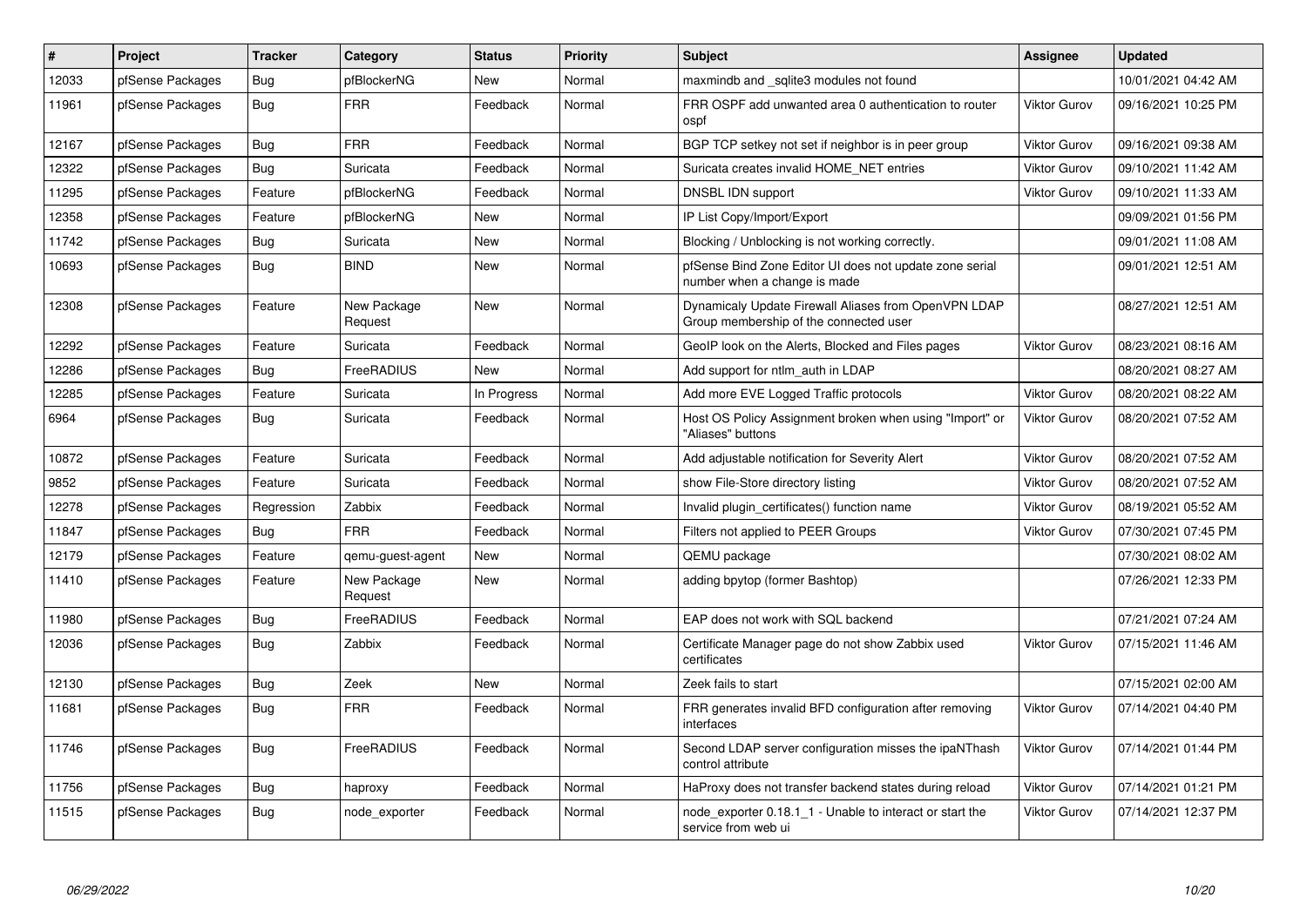| $\vert$ # | <b>Project</b>   | <b>Tracker</b> | Category               | <b>Status</b> | Priority | <b>Subject</b>                                                                                 | Assignee            | <b>Updated</b>      |
|-----------|------------------|----------------|------------------------|---------------|----------|------------------------------------------------------------------------------------------------|---------------------|---------------------|
| 12033     | pfSense Packages | <b>Bug</b>     | pfBlockerNG            | <b>New</b>    | Normal   | maxmindb and sqlite3 modules not found                                                         |                     | 10/01/2021 04:42 AM |
| 11961     | pfSense Packages | Bug            | <b>FRR</b>             | Feedback      | Normal   | FRR OSPF add unwanted area 0 authentication to router<br>ospf                                  | Viktor Gurov        | 09/16/2021 10:25 PM |
| 12167     | pfSense Packages | <b>Bug</b>     | <b>FRR</b>             | Feedback      | Normal   | BGP TCP setkey not set if neighbor is in peer group                                            | <b>Viktor Gurov</b> | 09/16/2021 09:38 AM |
| 12322     | pfSense Packages | Bug            | Suricata               | Feedback      | Normal   | Suricata creates invalid HOME NET entries                                                      | <b>Viktor Gurov</b> | 09/10/2021 11:42 AM |
| 11295     | pfSense Packages | Feature        | pfBlockerNG            | Feedback      | Normal   | DNSBL IDN support                                                                              | <b>Viktor Gurov</b> | 09/10/2021 11:33 AM |
| 12358     | pfSense Packages | Feature        | pfBlockerNG            | <b>New</b>    | Normal   | IP List Copy/Import/Export                                                                     |                     | 09/09/2021 01:56 PM |
| 11742     | pfSense Packages | <b>Bug</b>     | Suricata               | New           | Normal   | Blocking / Unblocking is not working correctly.                                                |                     | 09/01/2021 11:08 AM |
| 10693     | pfSense Packages | Bug            | <b>BIND</b>            | New           | Normal   | pfSense Bind Zone Editor UI does not update zone serial<br>number when a change is made        |                     | 09/01/2021 12:51 AM |
| 12308     | pfSense Packages | Feature        | New Package<br>Request | New           | Normal   | Dynamicaly Update Firewall Aliases from OpenVPN LDAP<br>Group membership of the connected user |                     | 08/27/2021 12:51 AM |
| 12292     | pfSense Packages | Feature        | Suricata               | Feedback      | Normal   | GeoIP look on the Alerts, Blocked and Files pages                                              | <b>Viktor Gurov</b> | 08/23/2021 08:16 AM |
| 12286     | pfSense Packages | Bug            | FreeRADIUS             | New           | Normal   | Add support for ntlm auth in LDAP                                                              |                     | 08/20/2021 08:27 AM |
| 12285     | pfSense Packages | Feature        | Suricata               | In Progress   | Normal   | Add more EVE Logged Traffic protocols                                                          | <b>Viktor Gurov</b> | 08/20/2021 08:22 AM |
| 6964      | pfSense Packages | Bug            | Suricata               | Feedback      | Normal   | Host OS Policy Assignment broken when using "Import" or<br>"Aliases" buttons                   | <b>Viktor Gurov</b> | 08/20/2021 07:52 AM |
| 10872     | pfSense Packages | Feature        | Suricata               | Feedback      | Normal   | Add adjustable notification for Severity Alert                                                 | <b>Viktor Gurov</b> | 08/20/2021 07:52 AM |
| 9852      | pfSense Packages | Feature        | Suricata               | Feedback      | Normal   | show File-Store directory listing                                                              | <b>Viktor Gurov</b> | 08/20/2021 07:52 AM |
| 12278     | pfSense Packages | Regression     | Zabbix                 | Feedback      | Normal   | Invalid plugin certificates() function name                                                    | <b>Viktor Gurov</b> | 08/19/2021 05:52 AM |
| 11847     | pfSense Packages | Bug            | <b>FRR</b>             | Feedback      | Normal   | Filters not applied to PEER Groups                                                             | <b>Viktor Gurov</b> | 07/30/2021 07:45 PM |
| 12179     | pfSense Packages | Feature        | gemu-guest-agent       | New           | Normal   | QEMU package                                                                                   |                     | 07/30/2021 08:02 AM |
| 11410     | pfSense Packages | Feature        | New Package<br>Request | New           | Normal   | adding bpytop (former Bashtop)                                                                 |                     | 07/26/2021 12:33 PM |
| 11980     | pfSense Packages | <b>Bug</b>     | FreeRADIUS             | Feedback      | Normal   | EAP does not work with SQL backend                                                             |                     | 07/21/2021 07:24 AM |
| 12036     | pfSense Packages | <b>Bug</b>     | Zabbix                 | Feedback      | Normal   | Certificate Manager page do not show Zabbix used<br>certificates                               | <b>Viktor Gurov</b> | 07/15/2021 11:46 AM |
| 12130     | pfSense Packages | Bug            | Zeek                   | <b>New</b>    | Normal   | Zeek fails to start                                                                            |                     | 07/15/2021 02:00 AM |
| 11681     | pfSense Packages | Bug            | <b>FRR</b>             | Feedback      | Normal   | FRR generates invalid BFD configuration after removing<br>interfaces                           | <b>Viktor Gurov</b> | 07/14/2021 04:40 PM |
| 11746     | pfSense Packages | <b>Bug</b>     | FreeRADIUS             | Feedback      | Normal   | Second LDAP server configuration misses the ipaNThash<br>control attribute                     | <b>Viktor Gurov</b> | 07/14/2021 01:44 PM |
| 11756     | pfSense Packages | Bug            | haproxy                | Feedback      | Normal   | HaProxy does not transfer backend states during reload                                         | <b>Viktor Gurov</b> | 07/14/2021 01:21 PM |
| 11515     | pfSense Packages | <b>Bug</b>     | node_exporter          | Feedback      | Normal   | node_exporter 0.18.1_1 - Unable to interact or start the<br>service from web ui                | <b>Viktor Gurov</b> | 07/14/2021 12:37 PM |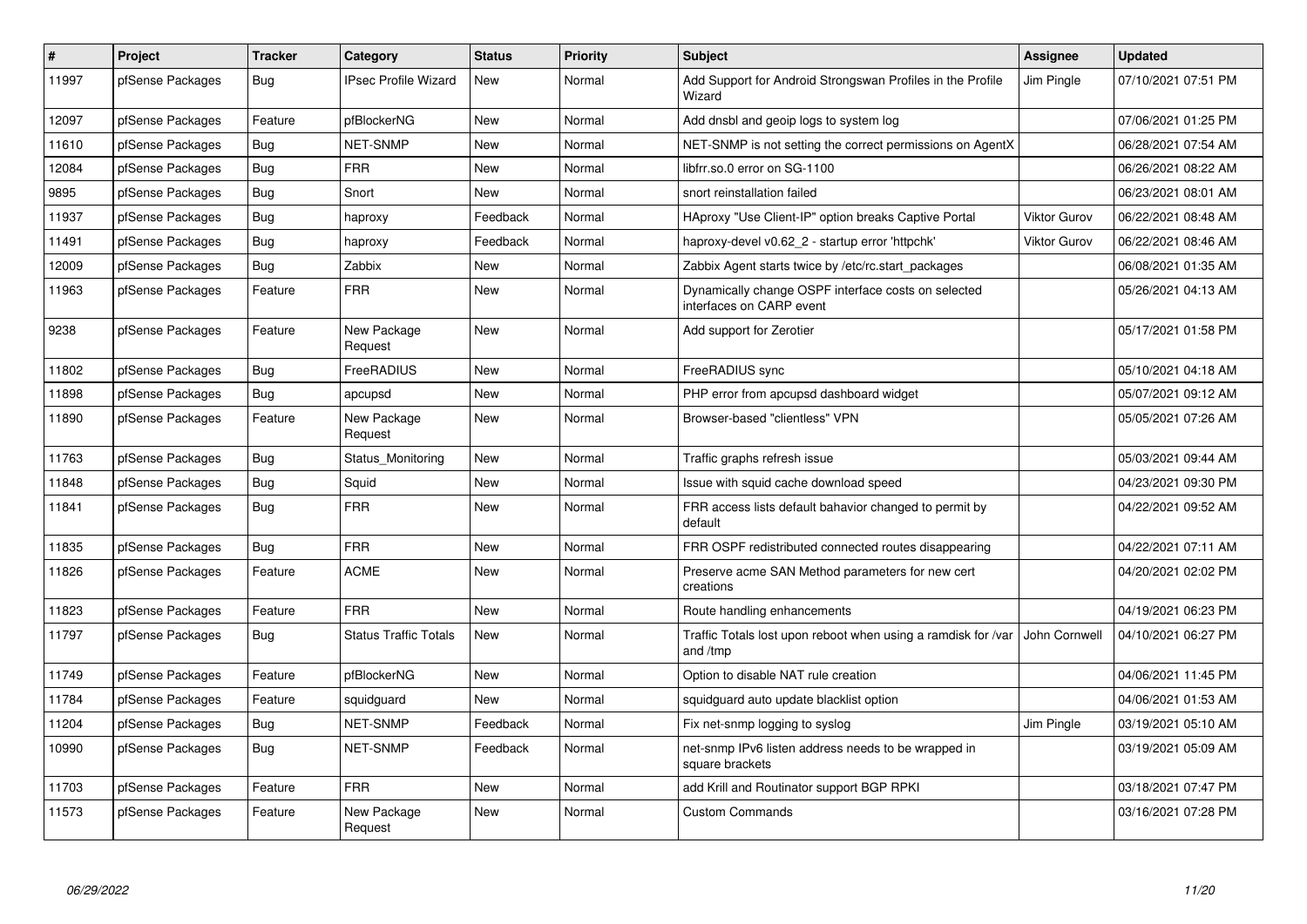| #     | Project          | <b>Tracker</b> | Category                     | <b>Status</b> | Priority | <b>Subject</b>                                                                  | Assignee            | <b>Updated</b>      |
|-------|------------------|----------------|------------------------------|---------------|----------|---------------------------------------------------------------------------------|---------------------|---------------------|
| 11997 | pfSense Packages | Bug            | <b>IPsec Profile Wizard</b>  | <b>New</b>    | Normal   | Add Support for Android Strongswan Profiles in the Profile<br>Wizard            | Jim Pingle          | 07/10/2021 07:51 PM |
| 12097 | pfSense Packages | Feature        | pfBlockerNG                  | <b>New</b>    | Normal   | Add dnsbl and geoip logs to system log                                          |                     | 07/06/2021 01:25 PM |
| 11610 | pfSense Packages | Bug            | <b>NET-SNMP</b>              | <b>New</b>    | Normal   | NET-SNMP is not setting the correct permissions on AgentX                       |                     | 06/28/2021 07:54 AM |
| 12084 | pfSense Packages | Bug            | <b>FRR</b>                   | New           | Normal   | libfrr.so.0 error on SG-1100                                                    |                     | 06/26/2021 08:22 AM |
| 9895  | pfSense Packages | Bug            | Snort                        | New           | Normal   | snort reinstallation failed                                                     |                     | 06/23/2021 08:01 AM |
| 11937 | pfSense Packages | <b>Bug</b>     | haproxy                      | Feedback      | Normal   | HAproxy "Use Client-IP" option breaks Captive Portal                            | <b>Viktor Gurov</b> | 06/22/2021 08:48 AM |
| 11491 | pfSense Packages | Bug            | haproxy                      | Feedback      | Normal   | haproxy-devel v0.62_2 - startup error 'httpchk'                                 | <b>Viktor Gurov</b> | 06/22/2021 08:46 AM |
| 12009 | pfSense Packages | Bug            | Zabbix                       | <b>New</b>    | Normal   | Zabbix Agent starts twice by /etc/rc.start packages                             |                     | 06/08/2021 01:35 AM |
| 11963 | pfSense Packages | Feature        | <b>FRR</b>                   | <b>New</b>    | Normal   | Dynamically change OSPF interface costs on selected<br>interfaces on CARP event |                     | 05/26/2021 04:13 AM |
| 9238  | pfSense Packages | Feature        | New Package<br>Request       | <b>New</b>    | Normal   | Add support for Zerotier                                                        |                     | 05/17/2021 01:58 PM |
| 11802 | pfSense Packages | <b>Bug</b>     | FreeRADIUS                   | <b>New</b>    | Normal   | FreeRADIUS sync                                                                 |                     | 05/10/2021 04:18 AM |
| 11898 | pfSense Packages | Bug            | apcupsd                      | <b>New</b>    | Normal   | PHP error from apcupsd dashboard widget                                         |                     | 05/07/2021 09:12 AM |
| 11890 | pfSense Packages | Feature        | New Package<br>Request       | New           | Normal   | Browser-based "clientless" VPN                                                  |                     | 05/05/2021 07:26 AM |
| 11763 | pfSense Packages | Bug            | Status Monitoring            | <b>New</b>    | Normal   | Traffic graphs refresh issue                                                    |                     | 05/03/2021 09:44 AM |
| 11848 | pfSense Packages | Bug            | Squid                        | <b>New</b>    | Normal   | Issue with squid cache download speed                                           |                     | 04/23/2021 09:30 PM |
| 11841 | pfSense Packages | Bug            | <b>FRR</b>                   | <b>New</b>    | Normal   | FRR access lists default bahavior changed to permit by<br>default               |                     | 04/22/2021 09:52 AM |
| 11835 | pfSense Packages | Bug            | <b>FRR</b>                   | New           | Normal   | FRR OSPF redistributed connected routes disappearing                            |                     | 04/22/2021 07:11 AM |
| 11826 | pfSense Packages | Feature        | <b>ACME</b>                  | <b>New</b>    | Normal   | Preserve acme SAN Method parameters for new cert<br>creations                   |                     | 04/20/2021 02:02 PM |
| 11823 | pfSense Packages | Feature        | <b>FRR</b>                   | <b>New</b>    | Normal   | Route handling enhancements                                                     |                     | 04/19/2021 06:23 PM |
| 11797 | pfSense Packages | Bug            | <b>Status Traffic Totals</b> | <b>New</b>    | Normal   | Traffic Totals lost upon reboot when using a ramdisk for /var<br>and /tmp       | John Cornwell       | 04/10/2021 06:27 PM |
| 11749 | pfSense Packages | Feature        | pfBlockerNG                  | New           | Normal   | Option to disable NAT rule creation                                             |                     | 04/06/2021 11:45 PM |
| 11784 | pfSense Packages | Feature        | squidguard                   | <b>New</b>    | Normal   | squidguard auto update blacklist option                                         |                     | 04/06/2021 01:53 AM |
| 11204 | pfSense Packages | Bug            | <b>NET-SNMP</b>              | Feedback      | Normal   | Fix net-snmp logging to syslog                                                  | Jim Pingle          | 03/19/2021 05:10 AM |
| 10990 | pfSense Packages | Bug            | <b>NET-SNMP</b>              | Feedback      | Normal   | net-snmp IPv6 listen address needs to be wrapped in<br>square brackets          |                     | 03/19/2021 05:09 AM |
| 11703 | pfSense Packages | Feature        | <b>FRR</b>                   | <b>New</b>    | Normal   | add Krill and Routinator support BGP RPKI                                       |                     | 03/18/2021 07:47 PM |
| 11573 | pfSense Packages | Feature        | New Package<br>Request       | <b>New</b>    | Normal   | <b>Custom Commands</b>                                                          |                     | 03/16/2021 07:28 PM |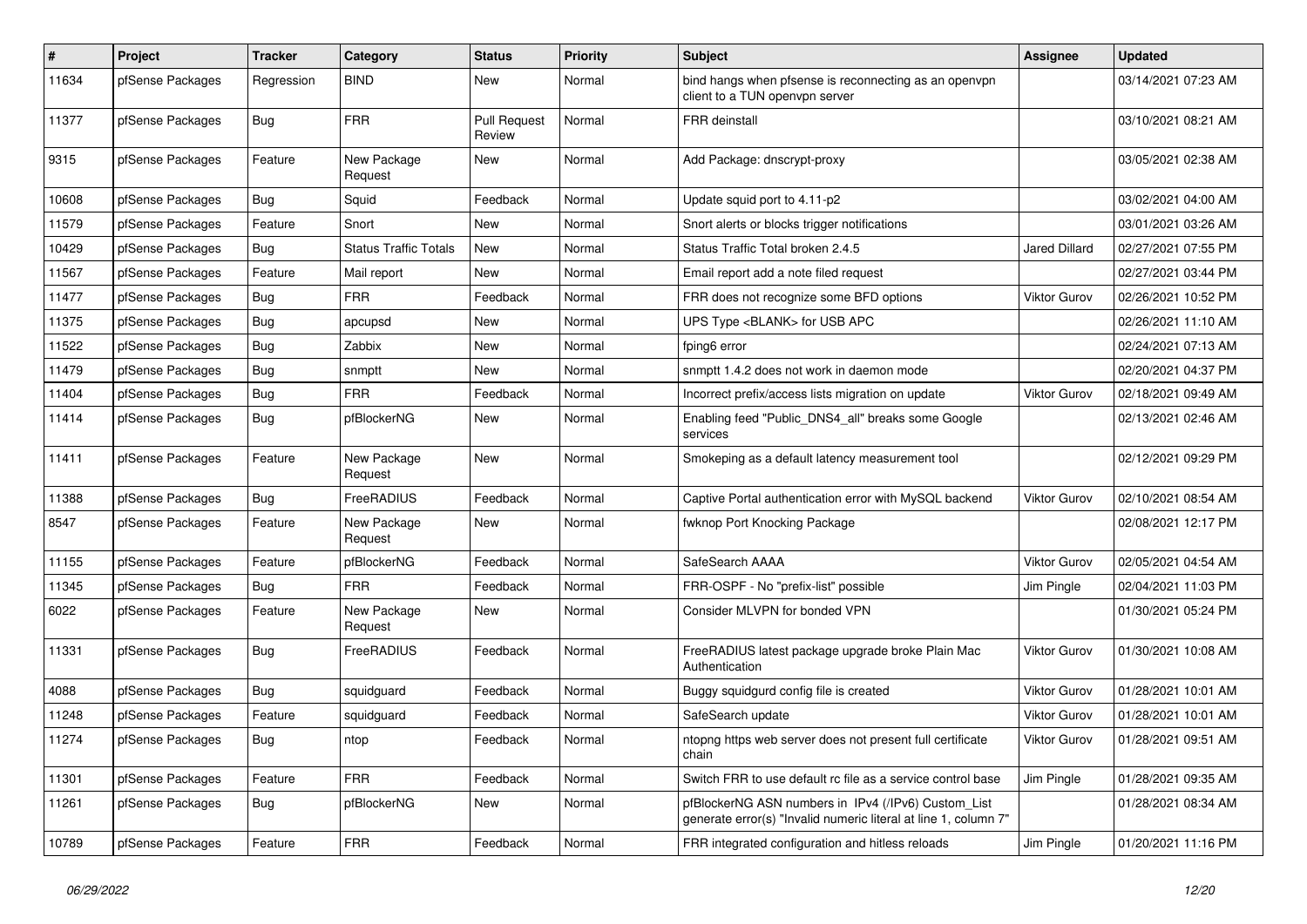| $\vert$ # | Project          | <b>Tracker</b> | Category                     | <b>Status</b>                 | <b>Priority</b> | <b>Subject</b>                                                                                                         | <b>Assignee</b>     | <b>Updated</b>      |
|-----------|------------------|----------------|------------------------------|-------------------------------|-----------------|------------------------------------------------------------------------------------------------------------------------|---------------------|---------------------|
| 11634     | pfSense Packages | Regression     | <b>BIND</b>                  | <b>New</b>                    | Normal          | bind hangs when pfsense is reconnecting as an openvpn<br>client to a TUN openvpn server                                |                     | 03/14/2021 07:23 AM |
| 11377     | pfSense Packages | Bug            | <b>FRR</b>                   | <b>Pull Request</b><br>Review | Normal          | <b>FRR</b> deinstall                                                                                                   |                     | 03/10/2021 08:21 AM |
| 9315      | pfSense Packages | Feature        | New Package<br>Request       | New                           | Normal          | Add Package: dnscrypt-proxy                                                                                            |                     | 03/05/2021 02:38 AM |
| 10608     | pfSense Packages | Bug            | Squid                        | Feedback                      | Normal          | Update squid port to 4.11-p2                                                                                           |                     | 03/02/2021 04:00 AM |
| 11579     | pfSense Packages | Feature        | Snort                        | <b>New</b>                    | Normal          | Snort alerts or blocks trigger notifications                                                                           |                     | 03/01/2021 03:26 AM |
| 10429     | pfSense Packages | <b>Bug</b>     | <b>Status Traffic Totals</b> | New                           | Normal          | Status Traffic Total broken 2.4.5                                                                                      | Jared Dillard       | 02/27/2021 07:55 PM |
| 11567     | pfSense Packages | Feature        | Mail report                  | New                           | Normal          | Email report add a note filed request                                                                                  |                     | 02/27/2021 03:44 PM |
| 11477     | pfSense Packages | Bug            | <b>FRR</b>                   | Feedback                      | Normal          | FRR does not recognize some BFD options                                                                                | <b>Viktor Gurov</b> | 02/26/2021 10:52 PM |
| 11375     | pfSense Packages | Bug            | apcupsd                      | <b>New</b>                    | Normal          | UPS Type <blank> for USB APC</blank>                                                                                   |                     | 02/26/2021 11:10 AM |
| 11522     | pfSense Packages | Bug            | Zabbix                       | <b>New</b>                    | Normal          | fping6 error                                                                                                           |                     | 02/24/2021 07:13 AM |
| 11479     | pfSense Packages | <b>Bug</b>     | snmptt                       | New                           | Normal          | snmptt 1.4.2 does not work in daemon mode                                                                              |                     | 02/20/2021 04:37 PM |
| 11404     | pfSense Packages | Bug            | <b>FRR</b>                   | Feedback                      | Normal          | Incorrect prefix/access lists migration on update                                                                      | Viktor Gurov        | 02/18/2021 09:49 AM |
| 11414     | pfSense Packages | <b>Bug</b>     | pfBlockerNG                  | <b>New</b>                    | Normal          | Enabling feed "Public_DNS4_all" breaks some Google<br>services                                                         |                     | 02/13/2021 02:46 AM |
| 11411     | pfSense Packages | Feature        | New Package<br>Request       | <b>New</b>                    | Normal          | Smokeping as a default latency measurement tool                                                                        |                     | 02/12/2021 09:29 PM |
| 11388     | pfSense Packages | Bug            | FreeRADIUS                   | Feedback                      | Normal          | Captive Portal authentication error with MySQL backend                                                                 | <b>Viktor Gurov</b> | 02/10/2021 08:54 AM |
| 8547      | pfSense Packages | Feature        | New Package<br>Request       | New                           | Normal          | fwknop Port Knocking Package                                                                                           |                     | 02/08/2021 12:17 PM |
| 11155     | pfSense Packages | Feature        | pfBlockerNG                  | Feedback                      | Normal          | SafeSearch AAAA                                                                                                        | <b>Viktor Gurov</b> | 02/05/2021 04:54 AM |
| 11345     | pfSense Packages | <b>Bug</b>     | <b>FRR</b>                   | Feedback                      | Normal          | FRR-OSPF - No "prefix-list" possible                                                                                   | Jim Pingle          | 02/04/2021 11:03 PM |
| 6022      | pfSense Packages | Feature        | New Package<br>Request       | <b>New</b>                    | Normal          | Consider MLVPN for bonded VPN                                                                                          |                     | 01/30/2021 05:24 PM |
| 11331     | pfSense Packages | <b>Bug</b>     | FreeRADIUS                   | Feedback                      | Normal          | FreeRADIUS latest package upgrade broke Plain Mac<br>Authentication                                                    | Viktor Gurov        | 01/30/2021 10:08 AM |
| 4088      | pfSense Packages | <b>Bug</b>     | squidguard                   | Feedback                      | Normal          | Buggy squidgurd config file is created                                                                                 | <b>Viktor Gurov</b> | 01/28/2021 10:01 AM |
| 11248     | pfSense Packages | Feature        | squidguard                   | Feedback                      | Normal          | SafeSearch update                                                                                                      | <b>Viktor Gurov</b> | 01/28/2021 10:01 AM |
| 11274     | pfSense Packages | Bug            | ntop                         | Feedback                      | Normal          | ntopng https web server does not present full certificate<br>chain                                                     | Viktor Gurov        | 01/28/2021 09:51 AM |
| 11301     | pfSense Packages | Feature        | <b>FRR</b>                   | Feedback                      | Normal          | Switch FRR to use default rc file as a service control base                                                            | Jim Pingle          | 01/28/2021 09:35 AM |
| 11261     | pfSense Packages | <b>Bug</b>     | pfBlockerNG                  | <b>New</b>                    | Normal          | pfBlockerNG ASN numbers in IPv4 (/IPv6) Custom List<br>generate error(s) "Invalid numeric literal at line 1, column 7" |                     | 01/28/2021 08:34 AM |
| 10789     | pfSense Packages | Feature        | <b>FRR</b>                   | Feedback                      | Normal          | FRR integrated configuration and hitless reloads                                                                       | Jim Pingle          | 01/20/2021 11:16 PM |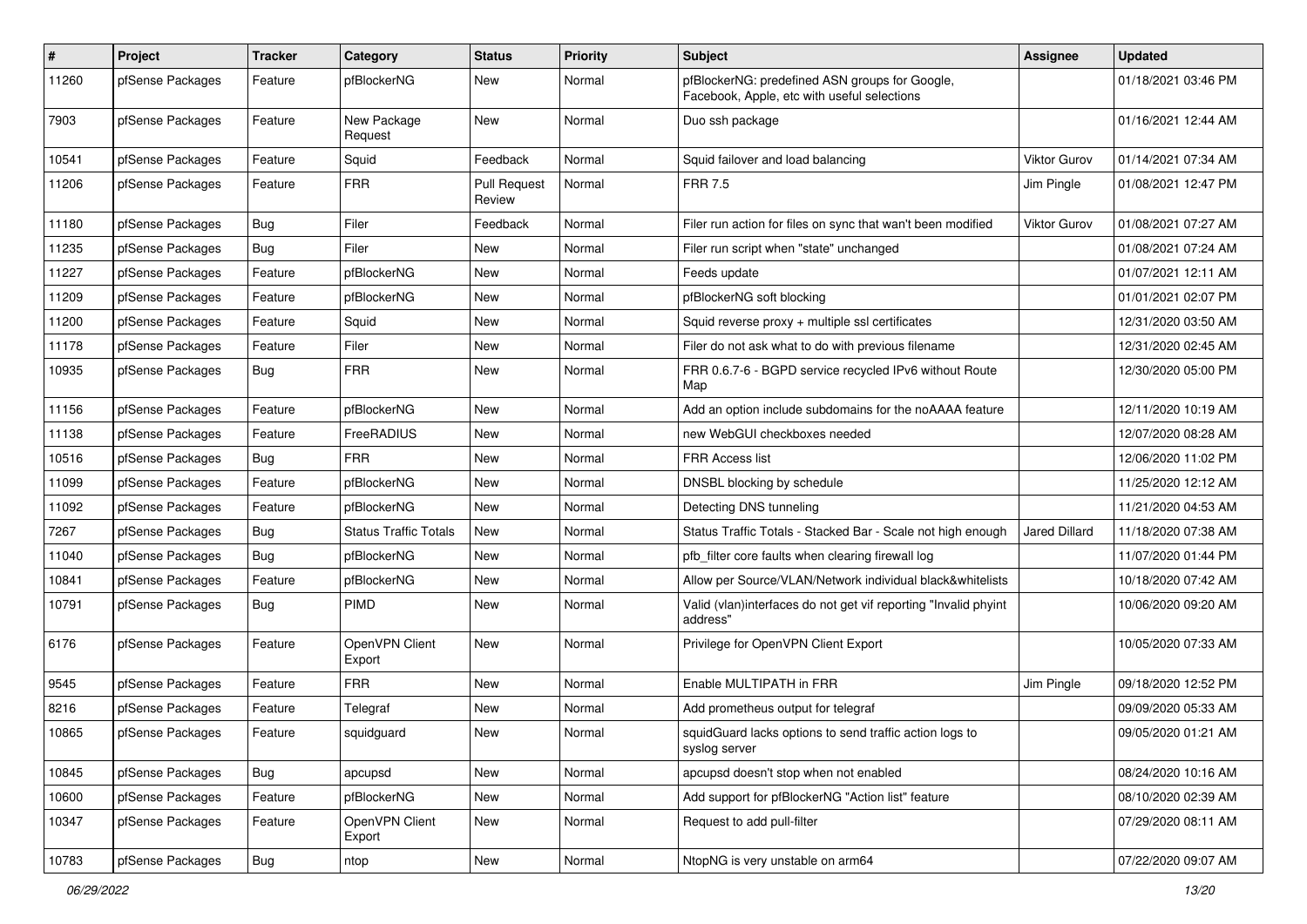| #     | Project          | <b>Tracker</b> | Category                     | <b>Status</b>                 | <b>Priority</b> | <b>Subject</b>                                                                                | Assignee            | <b>Updated</b>      |
|-------|------------------|----------------|------------------------------|-------------------------------|-----------------|-----------------------------------------------------------------------------------------------|---------------------|---------------------|
| 11260 | pfSense Packages | Feature        | pfBlockerNG                  | New                           | Normal          | pfBlockerNG: predefined ASN groups for Google,<br>Facebook, Apple, etc with useful selections |                     | 01/18/2021 03:46 PM |
| 7903  | pfSense Packages | Feature        | New Package<br>Request       | New                           | Normal          | Duo ssh package                                                                               |                     | 01/16/2021 12:44 AM |
| 10541 | pfSense Packages | Feature        | Squid                        | Feedback                      | Normal          | Squid failover and load balancing                                                             | Viktor Gurov        | 01/14/2021 07:34 AM |
| 11206 | pfSense Packages | Feature        | <b>FRR</b>                   | <b>Pull Request</b><br>Review | Normal          | <b>FRR 7.5</b>                                                                                | Jim Pingle          | 01/08/2021 12:47 PM |
| 11180 | pfSense Packages | <b>Bug</b>     | Filer                        | Feedback                      | Normal          | Filer run action for files on sync that wan't been modified                                   | <b>Viktor Gurov</b> | 01/08/2021 07:27 AM |
| 11235 | pfSense Packages | <b>Bug</b>     | Filer                        | New                           | Normal          | Filer run script when "state" unchanged                                                       |                     | 01/08/2021 07:24 AM |
| 11227 | pfSense Packages | Feature        | pfBlockerNG                  | New                           | Normal          | Feeds update                                                                                  |                     | 01/07/2021 12:11 AM |
| 11209 | pfSense Packages | Feature        | pfBlockerNG                  | New                           | Normal          | pfBlockerNG soft blocking                                                                     |                     | 01/01/2021 02:07 PM |
| 11200 | pfSense Packages | Feature        | Squid                        | New                           | Normal          | Squid reverse $proxy + \text{multiple} ssl$ certificates                                      |                     | 12/31/2020 03:50 AM |
| 11178 | pfSense Packages | Feature        | Filer                        | New                           | Normal          | Filer do not ask what to do with previous filename                                            |                     | 12/31/2020 02:45 AM |
| 10935 | pfSense Packages | <b>Bug</b>     | <b>FRR</b>                   | New                           | Normal          | FRR 0.6.7-6 - BGPD service recycled IPv6 without Route<br>Map                                 |                     | 12/30/2020 05:00 PM |
| 11156 | pfSense Packages | Feature        | pfBlockerNG                  | New                           | Normal          | Add an option include subdomains for the noAAAA feature                                       |                     | 12/11/2020 10:19 AM |
| 11138 | pfSense Packages | Feature        | FreeRADIUS                   | New                           | Normal          | new WebGUI checkboxes needed                                                                  |                     | 12/07/2020 08:28 AM |
| 10516 | pfSense Packages | Bug            | <b>FRR</b>                   | New                           | Normal          | FRR Access list                                                                               |                     | 12/06/2020 11:02 PM |
| 11099 | pfSense Packages | Feature        | pfBlockerNG                  | New                           | Normal          | DNSBL blocking by schedule                                                                    |                     | 11/25/2020 12:12 AM |
| 11092 | pfSense Packages | Feature        | pfBlockerNG                  | New                           | Normal          | Detecting DNS tunneling                                                                       |                     | 11/21/2020 04:53 AM |
| 7267  | pfSense Packages | Bug            | <b>Status Traffic Totals</b> | New                           | Normal          | Status Traffic Totals - Stacked Bar - Scale not high enough                                   | Jared Dillard       | 11/18/2020 07:38 AM |
| 11040 | pfSense Packages | <b>Bug</b>     | pfBlockerNG                  | New                           | Normal          | pfb filter core faults when clearing firewall log                                             |                     | 11/07/2020 01:44 PM |
| 10841 | pfSense Packages | Feature        | pfBlockerNG                  | New                           | Normal          | Allow per Source/VLAN/Network individual black&whitelists                                     |                     | 10/18/2020 07:42 AM |
| 10791 | pfSense Packages | Bug            | <b>PIMD</b>                  | New                           | Normal          | Valid (vlan)interfaces do not get vif reporting "Invalid phyint<br>address"                   |                     | 10/06/2020 09:20 AM |
| 6176  | pfSense Packages | Feature        | OpenVPN Client<br>Export     | New                           | Normal          | Privilege for OpenVPN Client Export                                                           |                     | 10/05/2020 07:33 AM |
| 9545  | pfSense Packages | Feature        | <b>FRR</b>                   | New                           | Normal          | Enable MULTIPATH in FRR                                                                       | Jim Pingle          | 09/18/2020 12:52 PM |
| 8216  | pfSense Packages | Feature        | Telegraf                     | New                           | Normal          | Add prometheus output for telegraf                                                            |                     | 09/09/2020 05:33 AM |
| 10865 | pfSense Packages | Feature        | squidquard                   | New                           | Normal          | squidGuard lacks options to send traffic action logs to<br>syslog server                      |                     | 09/05/2020 01:21 AM |
| 10845 | pfSense Packages | <b>Bug</b>     | apcupsd                      | New                           | Normal          | apcupsd doesn't stop when not enabled                                                         |                     | 08/24/2020 10:16 AM |
| 10600 | pfSense Packages | Feature        | pfBlockerNG                  | New                           | Normal          | Add support for pfBlockerNG "Action list" feature                                             |                     | 08/10/2020 02:39 AM |
| 10347 | pfSense Packages | Feature        | OpenVPN Client<br>Export     | New                           | Normal          | Request to add pull-filter                                                                    |                     | 07/29/2020 08:11 AM |
| 10783 | pfSense Packages | Bug            | ntop                         | New                           | Normal          | NtopNG is very unstable on arm64                                                              |                     | 07/22/2020 09:07 AM |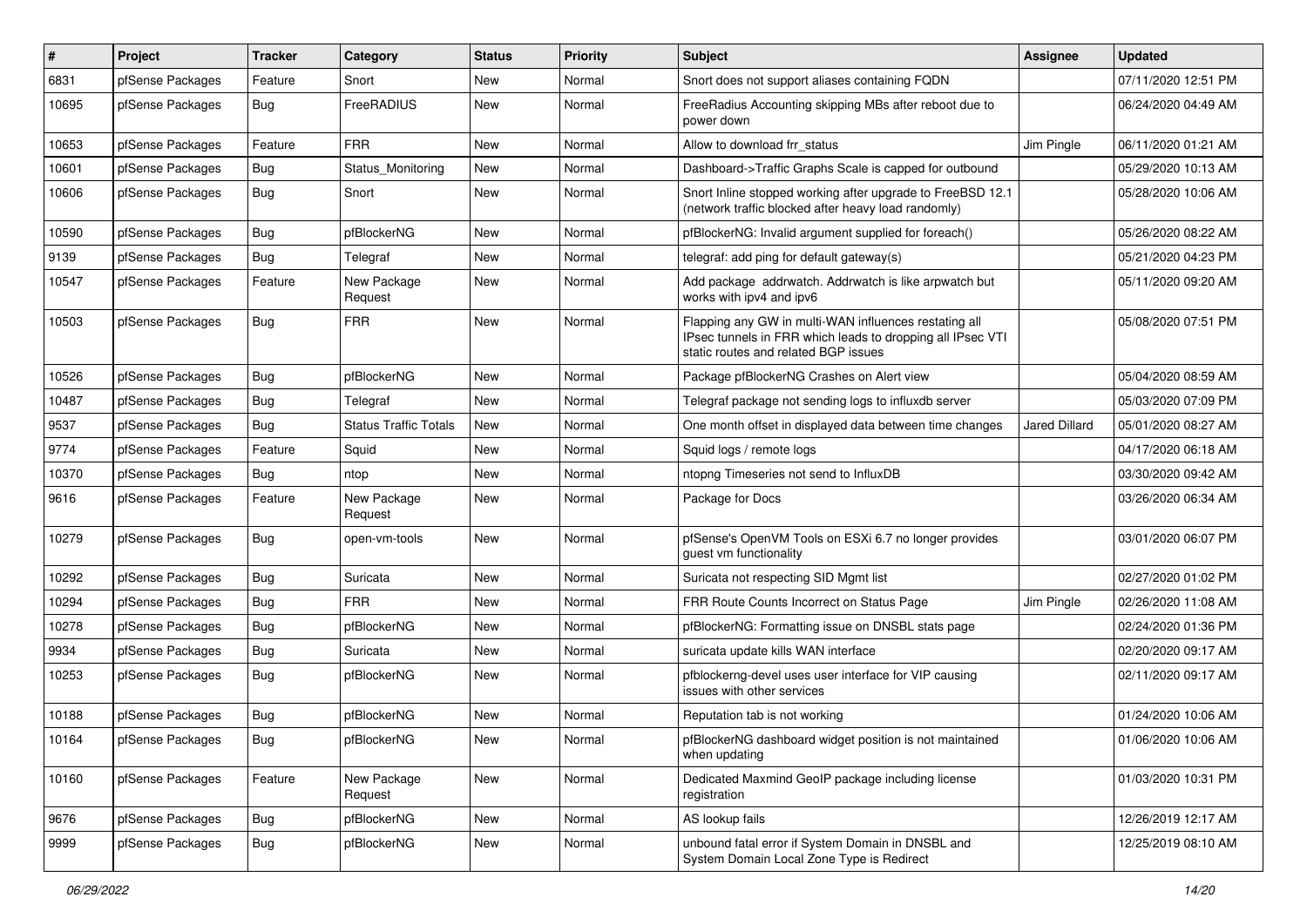| #     | Project          | Tracker    | Category                     | <b>Status</b> | <b>Priority</b> | <b>Subject</b>                                                                                                                                              | <b>Assignee</b>      | <b>Updated</b>      |
|-------|------------------|------------|------------------------------|---------------|-----------------|-------------------------------------------------------------------------------------------------------------------------------------------------------------|----------------------|---------------------|
| 6831  | pfSense Packages | Feature    | Snort                        | New           | Normal          | Snort does not support aliases containing FQDN                                                                                                              |                      | 07/11/2020 12:51 PM |
| 10695 | pfSense Packages | <b>Bug</b> | FreeRADIUS                   | <b>New</b>    | Normal          | FreeRadius Accounting skipping MBs after reboot due to<br>power down                                                                                        |                      | 06/24/2020 04:49 AM |
| 10653 | pfSense Packages | Feature    | <b>FRR</b>                   | <b>New</b>    | Normal          | Allow to download frr status                                                                                                                                | Jim Pingle           | 06/11/2020 01:21 AM |
| 10601 | pfSense Packages | Bug        | Status_Monitoring            | <b>New</b>    | Normal          | Dashboard->Traffic Graphs Scale is capped for outbound                                                                                                      |                      | 05/29/2020 10:13 AM |
| 10606 | pfSense Packages | Bug        | Snort                        | New           | Normal          | Snort Inline stopped working after upgrade to FreeBSD 12.1<br>(network traffic blocked after heavy load randomly)                                           |                      | 05/28/2020 10:06 AM |
| 10590 | pfSense Packages | Bug        | pfBlockerNG                  | New           | Normal          | pfBlockerNG: Invalid argument supplied for foreach()                                                                                                        |                      | 05/26/2020 08:22 AM |
| 9139  | pfSense Packages | Bug        | Telegraf                     | New           | Normal          | telegraf: add ping for default gateway(s)                                                                                                                   |                      | 05/21/2020 04:23 PM |
| 10547 | pfSense Packages | Feature    | New Package<br>Request       | New           | Normal          | Add package addrwatch. Addrwatch is like arpwatch but<br>works with ipv4 and ipv6                                                                           |                      | 05/11/2020 09:20 AM |
| 10503 | pfSense Packages | Bug        | <b>FRR</b>                   | New           | Normal          | Flapping any GW in multi-WAN influences restating all<br>IPsec tunnels in FRR which leads to dropping all IPsec VTI<br>static routes and related BGP issues |                      | 05/08/2020 07:51 PM |
| 10526 | pfSense Packages | <b>Bug</b> | pfBlockerNG                  | New           | Normal          | Package pfBlockerNG Crashes on Alert view                                                                                                                   |                      | 05/04/2020 08:59 AM |
| 10487 | pfSense Packages | Bug        | Telegraf                     | <b>New</b>    | Normal          | Telegraf package not sending logs to influxdb server                                                                                                        |                      | 05/03/2020 07:09 PM |
| 9537  | pfSense Packages | Bug        | <b>Status Traffic Totals</b> | New           | Normal          | One month offset in displayed data between time changes                                                                                                     | <b>Jared Dillard</b> | 05/01/2020 08:27 AM |
| 9774  | pfSense Packages | Feature    | Squid                        | <b>New</b>    | Normal          | Squid logs / remote logs                                                                                                                                    |                      | 04/17/2020 06:18 AM |
| 10370 | pfSense Packages | <b>Bug</b> | ntop                         | New           | Normal          | ntopng Timeseries not send to InfluxDB                                                                                                                      |                      | 03/30/2020 09:42 AM |
| 9616  | pfSense Packages | Feature    | New Package<br>Request       | New           | Normal          | Package for Docs                                                                                                                                            |                      | 03/26/2020 06:34 AM |
| 10279 | pfSense Packages | <b>Bug</b> | open-vm-tools                | <b>New</b>    | Normal          | pfSense's OpenVM Tools on ESXi 6.7 no longer provides<br>guest vm functionality                                                                             |                      | 03/01/2020 06:07 PM |
| 10292 | pfSense Packages | Bug        | Suricata                     | <b>New</b>    | Normal          | Suricata not respecting SID Mgmt list                                                                                                                       |                      | 02/27/2020 01:02 PM |
| 10294 | pfSense Packages | Bug        | <b>FRR</b>                   | New           | Normal          | FRR Route Counts Incorrect on Status Page                                                                                                                   | Jim Pingle           | 02/26/2020 11:08 AM |
| 10278 | pfSense Packages | <b>Bug</b> | pfBlockerNG                  | <b>New</b>    | Normal          | pfBlockerNG: Formatting issue on DNSBL stats page                                                                                                           |                      | 02/24/2020 01:36 PM |
| 9934  | pfSense Packages | <b>Bug</b> | Suricata                     | New           | Normal          | suricata update kills WAN interface                                                                                                                         |                      | 02/20/2020 09:17 AM |
| 10253 | pfSense Packages | Bug        | pfBlockerNG                  | <b>New</b>    | Normal          | pfblockerng-devel uses user interface for VIP causing<br>issues with other services                                                                         |                      | 02/11/2020 09:17 AM |
| 10188 | pfSense Packages | <b>Bug</b> | pfBlockerNG                  | New           | Normal          | Reputation tab is not working                                                                                                                               |                      | 01/24/2020 10:06 AM |
| 10164 | pfSense Packages | Bug        | pfBlockerNG                  | New           | Normal          | pfBlockerNG dashboard widget position is not maintained<br>when updating                                                                                    |                      | 01/06/2020 10:06 AM |
| 10160 | pfSense Packages | Feature    | New Package<br>Request       | New           | Normal          | Dedicated Maxmind GeoIP package including license<br>registration                                                                                           |                      | 01/03/2020 10:31 PM |
| 9676  | pfSense Packages | Bug        | pfBlockerNG                  | New           | Normal          | AS lookup fails                                                                                                                                             |                      | 12/26/2019 12:17 AM |
| 9999  | pfSense Packages | Bug        | pfBlockerNG                  | New           | Normal          | unbound fatal error if System Domain in DNSBL and<br>System Domain Local Zone Type is Redirect                                                              |                      | 12/25/2019 08:10 AM |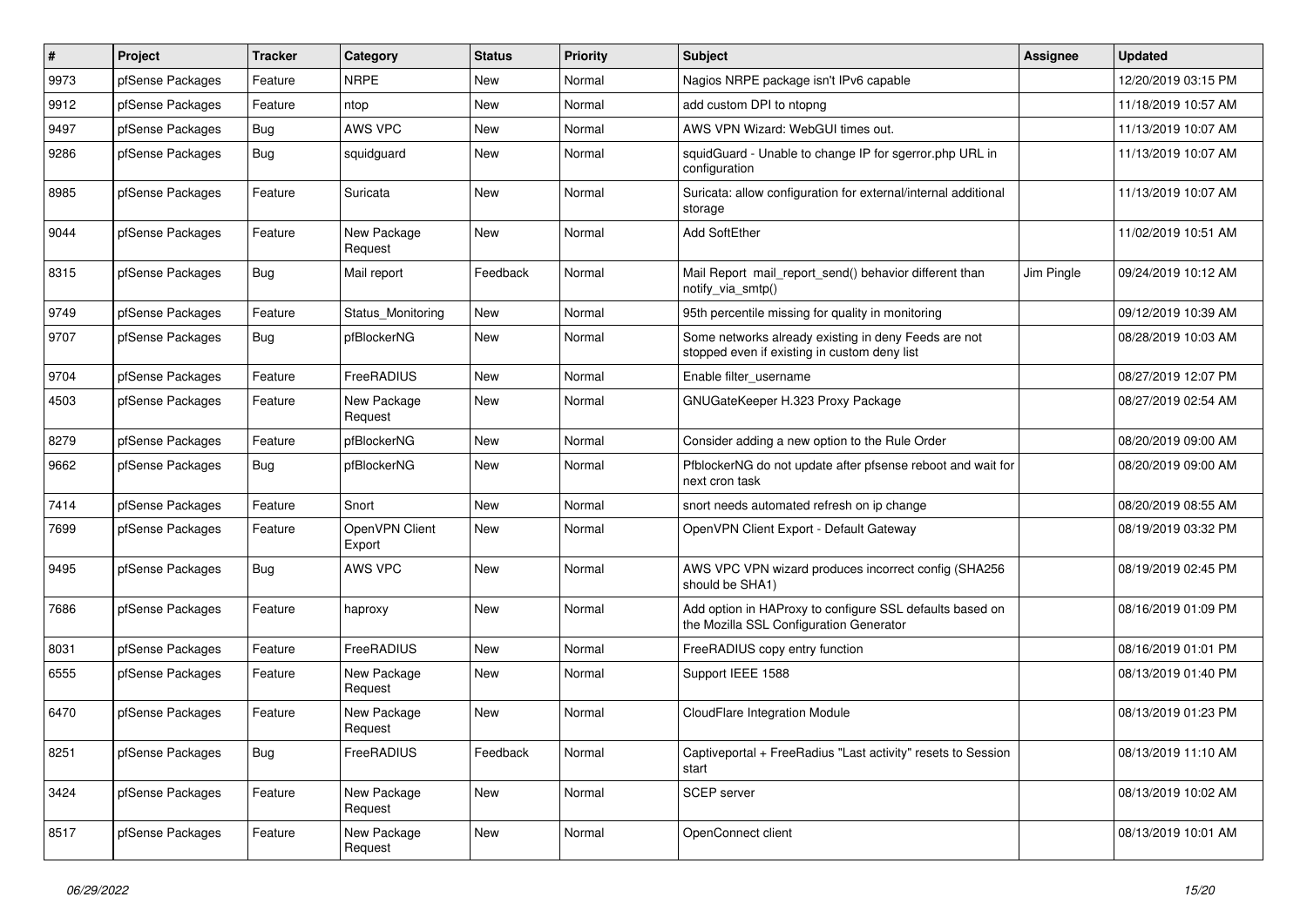| $\pmb{\#}$ | Project          | <b>Tracker</b> | Category                 | <b>Status</b> | <b>Priority</b> | Subject                                                                                              | Assignee   | <b>Updated</b>      |
|------------|------------------|----------------|--------------------------|---------------|-----------------|------------------------------------------------------------------------------------------------------|------------|---------------------|
| 9973       | pfSense Packages | Feature        | <b>NRPE</b>              | New           | Normal          | Nagios NRPE package isn't IPv6 capable                                                               |            | 12/20/2019 03:15 PM |
| 9912       | pfSense Packages | Feature        | ntop                     | New           | Normal          | add custom DPI to ntopng                                                                             |            | 11/18/2019 10:57 AM |
| 9497       | pfSense Packages | <b>Bug</b>     | AWS VPC                  | New           | Normal          | AWS VPN Wizard: WebGUI times out.                                                                    |            | 11/13/2019 10:07 AM |
| 9286       | pfSense Packages | <b>Bug</b>     | squidguard               | New           | Normal          | squidGuard - Unable to change IP for sgerror.php URL in<br>configuration                             |            | 11/13/2019 10:07 AM |
| 8985       | pfSense Packages | Feature        | Suricata                 | New           | Normal          | Suricata: allow configuration for external/internal additional<br>storage                            |            | 11/13/2019 10:07 AM |
| 9044       | pfSense Packages | Feature        | New Package<br>Request   | <b>New</b>    | Normal          | Add SoftEther                                                                                        |            | 11/02/2019 10:51 AM |
| 8315       | pfSense Packages | Bug            | Mail report              | Feedback      | Normal          | Mail Report mail report send() behavior different than<br>notify_via_smtp()                          | Jim Pingle | 09/24/2019 10:12 AM |
| 9749       | pfSense Packages | Feature        | Status_Monitoring        | <b>New</b>    | Normal          | 95th percentile missing for quality in monitoring                                                    |            | 09/12/2019 10:39 AM |
| 9707       | pfSense Packages | Bug            | pfBlockerNG              | New           | Normal          | Some networks already existing in deny Feeds are not<br>stopped even if existing in custom deny list |            | 08/28/2019 10:03 AM |
| 9704       | pfSense Packages | Feature        | FreeRADIUS               | New           | Normal          | Enable filter username                                                                               |            | 08/27/2019 12:07 PM |
| 4503       | pfSense Packages | Feature        | New Package<br>Request   | <b>New</b>    | Normal          | GNUGateKeeper H.323 Proxy Package                                                                    |            | 08/27/2019 02:54 AM |
| 8279       | pfSense Packages | Feature        | pfBlockerNG              | <b>New</b>    | Normal          | Consider adding a new option to the Rule Order                                                       |            | 08/20/2019 09:00 AM |
| 9662       | pfSense Packages | <b>Bug</b>     | pfBlockerNG              | New           | Normal          | PfblockerNG do not update after pfsense reboot and wait for<br>next cron task                        |            | 08/20/2019 09:00 AM |
| 7414       | pfSense Packages | Feature        | Snort                    | <b>New</b>    | Normal          | snort needs automated refresh on ip change                                                           |            | 08/20/2019 08:55 AM |
| 7699       | pfSense Packages | Feature        | OpenVPN Client<br>Export | New           | Normal          | OpenVPN Client Export - Default Gateway                                                              |            | 08/19/2019 03:32 PM |
| 9495       | pfSense Packages | Bug            | AWS VPC                  | <b>New</b>    | Normal          | AWS VPC VPN wizard produces incorrect config (SHA256<br>should be SHA1)                              |            | 08/19/2019 02:45 PM |
| 7686       | pfSense Packages | Feature        | haproxy                  | New           | Normal          | Add option in HAProxy to configure SSL defaults based on<br>the Mozilla SSL Configuration Generator  |            | 08/16/2019 01:09 PM |
| 8031       | pfSense Packages | Feature        | FreeRADIUS               | New           | Normal          | FreeRADIUS copy entry function                                                                       |            | 08/16/2019 01:01 PM |
| 6555       | pfSense Packages | Feature        | New Package<br>Request   | New           | Normal          | Support IEEE 1588                                                                                    |            | 08/13/2019 01:40 PM |
| 6470       | pfSense Packages | Feature        | New Package<br>Request   | New           | Normal          | CloudFlare Integration Module                                                                        |            | 08/13/2019 01:23 PM |
| 8251       | pfSense Packages | <b>Bug</b>     | FreeRADIUS               | Feedback      | Normal          | Captiveportal + FreeRadius "Last activity" resets to Session<br>start                                |            | 08/13/2019 11:10 AM |
| 3424       | pfSense Packages | Feature        | New Package<br>Request   | New           | Normal          | SCEP server                                                                                          |            | 08/13/2019 10:02 AM |
| 8517       | pfSense Packages | Feature        | New Package<br>Request   | New           | Normal          | OpenConnect client                                                                                   |            | 08/13/2019 10:01 AM |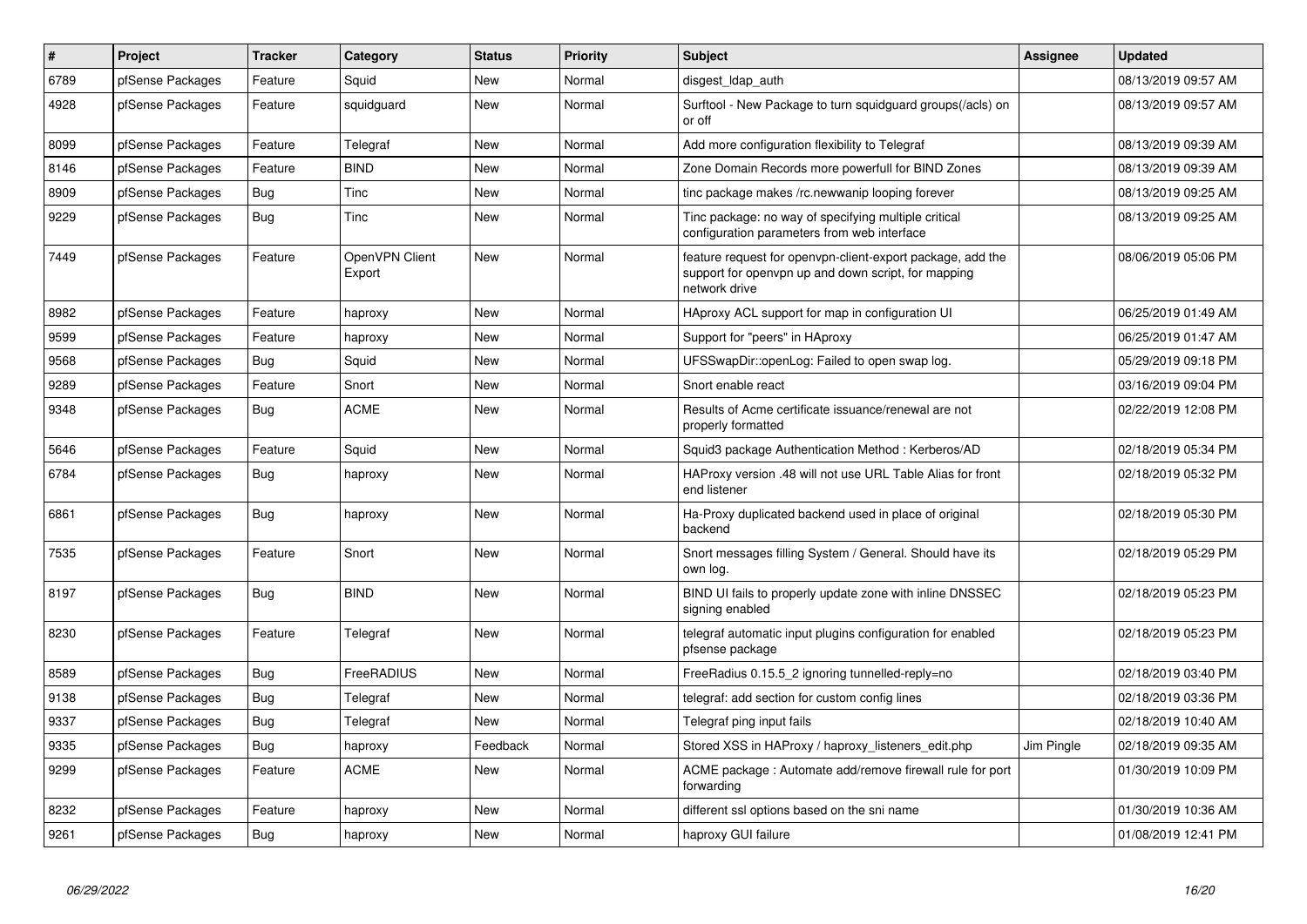| $\sharp$ | Project          | <b>Tracker</b> | Category                 | <b>Status</b> | <b>Priority</b> | <b>Subject</b>                                                                                                                     | <b>Assignee</b> | <b>Updated</b>      |
|----------|------------------|----------------|--------------------------|---------------|-----------------|------------------------------------------------------------------------------------------------------------------------------------|-----------------|---------------------|
| 6789     | pfSense Packages | Feature        | Squid                    | <b>New</b>    | Normal          | disgest Idap auth                                                                                                                  |                 | 08/13/2019 09:57 AM |
| 4928     | pfSense Packages | Feature        | squidguard               | <b>New</b>    | Normal          | Surftool - New Package to turn squidguard groups(/acls) on<br>or off                                                               |                 | 08/13/2019 09:57 AM |
| 8099     | pfSense Packages | Feature        | Telegraf                 | <b>New</b>    | Normal          | Add more configuration flexibility to Telegraf                                                                                     |                 | 08/13/2019 09:39 AM |
| 8146     | pfSense Packages | Feature        | <b>BIND</b>              | <b>New</b>    | Normal          | Zone Domain Records more powerfull for BIND Zones                                                                                  |                 | 08/13/2019 09:39 AM |
| 8909     | pfSense Packages | Bug            | Tinc                     | <b>New</b>    | Normal          | tinc package makes /rc.newwanip looping forever                                                                                    |                 | 08/13/2019 09:25 AM |
| 9229     | pfSense Packages | <b>Bug</b>     | Tinc                     | <b>New</b>    | Normal          | Tinc package: no way of specifying multiple critical<br>configuration parameters from web interface                                |                 | 08/13/2019 09:25 AM |
| 7449     | pfSense Packages | Feature        | OpenVPN Client<br>Export | New           | Normal          | feature request for openvpn-client-export package, add the<br>support for openvpn up and down script, for mapping<br>network drive |                 | 08/06/2019 05:06 PM |
| 8982     | pfSense Packages | Feature        | haproxy                  | <b>New</b>    | Normal          | HAproxy ACL support for map in configuration UI                                                                                    |                 | 06/25/2019 01:49 AM |
| 9599     | pfSense Packages | Feature        | haproxy                  | <b>New</b>    | Normal          | Support for "peers" in HAproxy                                                                                                     |                 | 06/25/2019 01:47 AM |
| 9568     | pfSense Packages | <b>Bug</b>     | Squid                    | <b>New</b>    | Normal          | UFSSwapDir::openLog: Failed to open swap log.                                                                                      |                 | 05/29/2019 09:18 PM |
| 9289     | pfSense Packages | Feature        | Snort                    | New           | Normal          | Snort enable react                                                                                                                 |                 | 03/16/2019 09:04 PM |
| 9348     | pfSense Packages | <b>Bug</b>     | <b>ACME</b>              | New           | Normal          | Results of Acme certificate issuance/renewal are not<br>properly formatted                                                         |                 | 02/22/2019 12:08 PM |
| 5646     | pfSense Packages | Feature        | Squid                    | <b>New</b>    | Normal          | Squid3 package Authentication Method: Kerberos/AD                                                                                  |                 | 02/18/2019 05:34 PM |
| 6784     | pfSense Packages | Bug            | haproxy                  | New           | Normal          | HAProxy version .48 will not use URL Table Alias for front<br>end listener                                                         |                 | 02/18/2019 05:32 PM |
| 6861     | pfSense Packages | Bug            | haproxy                  | <b>New</b>    | Normal          | Ha-Proxy duplicated backend used in place of original<br>backend                                                                   |                 | 02/18/2019 05:30 PM |
| 7535     | pfSense Packages | Feature        | Snort                    | <b>New</b>    | Normal          | Snort messages filling System / General. Should have its<br>own log.                                                               |                 | 02/18/2019 05:29 PM |
| 8197     | pfSense Packages | <b>Bug</b>     | <b>BIND</b>              | <b>New</b>    | Normal          | BIND UI fails to properly update zone with inline DNSSEC<br>signing enabled                                                        |                 | 02/18/2019 05:23 PM |
| 8230     | pfSense Packages | Feature        | Telegraf                 | <b>New</b>    | Normal          | telegraf automatic input plugins configuration for enabled<br>pfsense package                                                      |                 | 02/18/2019 05:23 PM |
| 8589     | pfSense Packages | <b>Bug</b>     | FreeRADIUS               | <b>New</b>    | Normal          | FreeRadius 0.15.5 2 ignoring tunnelled-reply=no                                                                                    |                 | 02/18/2019 03:40 PM |
| 9138     | pfSense Packages | Bug            | Telegraf                 | New           | Normal          | telegraf: add section for custom config lines                                                                                      |                 | 02/18/2019 03:36 PM |
| 9337     | pfSense Packages | <b>Bug</b>     | Telegraf                 | <b>New</b>    | Normal          | Telegraf ping input fails                                                                                                          |                 | 02/18/2019 10:40 AM |
| 9335     | pfSense Packages | Bug            | haproxy                  | Feedback      | Normal          | Stored XSS in HAProxy / haproxy_listeners_edit.php                                                                                 | Jim Pingle      | 02/18/2019 09:35 AM |
| 9299     | pfSense Packages | Feature        | <b>ACME</b>              | <b>New</b>    | Normal          | ACME package: Automate add/remove firewall rule for port<br>forwarding                                                             |                 | 01/30/2019 10:09 PM |
| 8232     | pfSense Packages | Feature        | haproxy                  | New           | Normal          | different ssl options based on the sni name                                                                                        |                 | 01/30/2019 10:36 AM |
| 9261     | pfSense Packages | Bug            | haproxy                  | New           | Normal          | haproxy GUI failure                                                                                                                |                 | 01/08/2019 12:41 PM |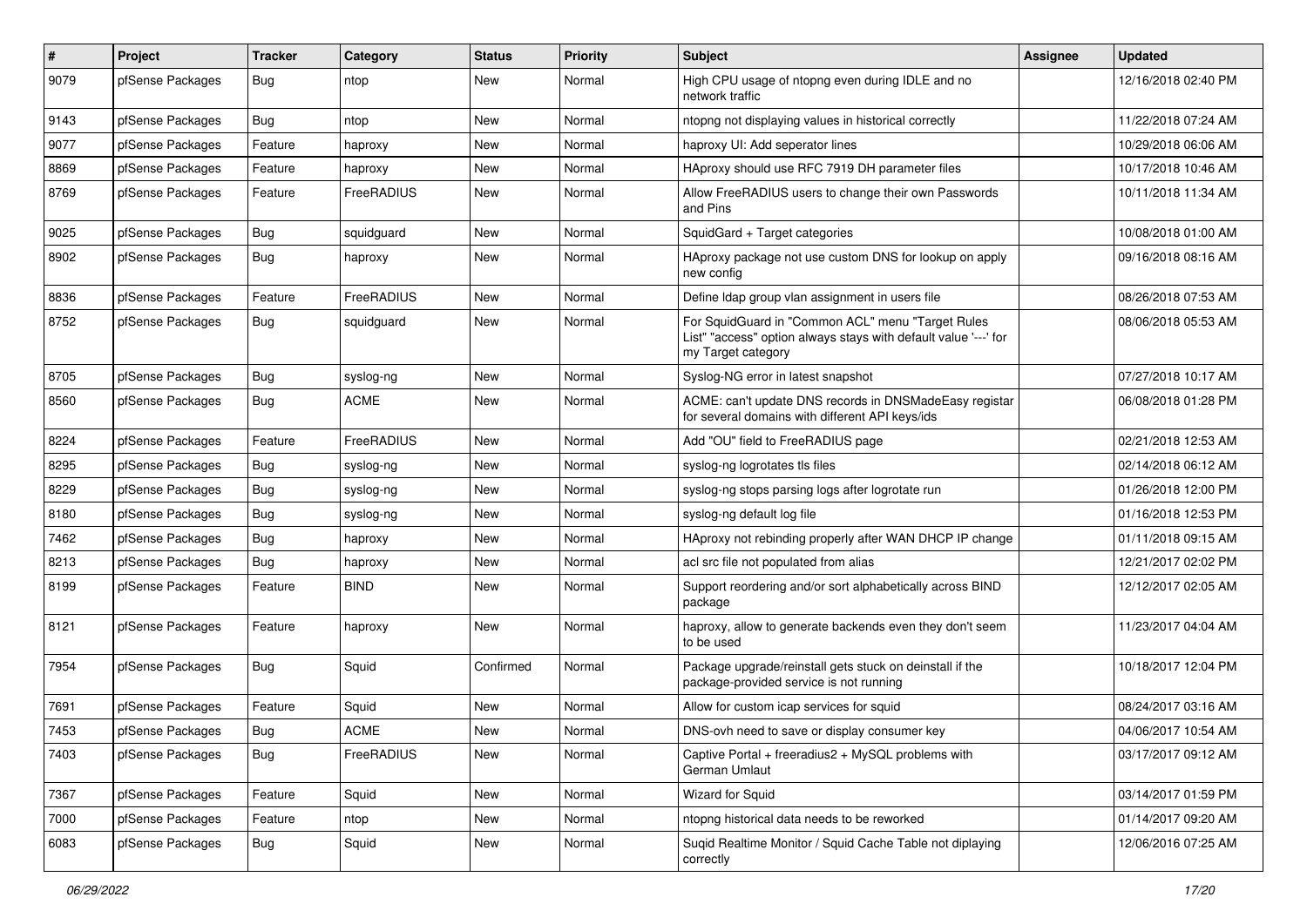| $\pmb{\#}$ | Project          | <b>Tracker</b> | Category    | <b>Status</b> | <b>Priority</b> | <b>Subject</b>                                                                                                                             | <b>Assignee</b> | <b>Updated</b>      |
|------------|------------------|----------------|-------------|---------------|-----------------|--------------------------------------------------------------------------------------------------------------------------------------------|-----------------|---------------------|
| 9079       | pfSense Packages | <b>Bug</b>     | ntop        | New           | Normal          | High CPU usage of ntopng even during IDLE and no<br>network traffic                                                                        |                 | 12/16/2018 02:40 PM |
| 9143       | pfSense Packages | <b>Bug</b>     | ntop        | New           | Normal          | ntopng not displaying values in historical correctly                                                                                       |                 | 11/22/2018 07:24 AM |
| 9077       | pfSense Packages | Feature        | haproxy     | New           | Normal          | haproxy UI: Add seperator lines                                                                                                            |                 | 10/29/2018 06:06 AM |
| 8869       | pfSense Packages | Feature        | haproxy     | <b>New</b>    | Normal          | HAproxy should use RFC 7919 DH parameter files                                                                                             |                 | 10/17/2018 10:46 AM |
| 8769       | pfSense Packages | Feature        | FreeRADIUS  | New           | Normal          | Allow FreeRADIUS users to change their own Passwords<br>and Pins                                                                           |                 | 10/11/2018 11:34 AM |
| 9025       | pfSense Packages | <b>Bug</b>     | squidquard  | New           | Normal          | SquidGard + Target categories                                                                                                              |                 | 10/08/2018 01:00 AM |
| 8902       | pfSense Packages | <b>Bug</b>     | haproxy     | New           | Normal          | HAproxy package not use custom DNS for lookup on apply<br>new config                                                                       |                 | 09/16/2018 08:16 AM |
| 8836       | pfSense Packages | Feature        | FreeRADIUS  | New           | Normal          | Define Idap group vlan assignment in users file                                                                                            |                 | 08/26/2018 07:53 AM |
| 8752       | pfSense Packages | Bug            | squidguard  | New           | Normal          | For SquidGuard in "Common ACL" menu "Target Rules<br>List" "access" option always stays with default value '---' for<br>my Target category |                 | 08/06/2018 05:53 AM |
| 8705       | pfSense Packages | Bug            | syslog-ng   | New           | Normal          | Syslog-NG error in latest snapshot                                                                                                         |                 | 07/27/2018 10:17 AM |
| 8560       | pfSense Packages | Bug            | <b>ACME</b> | <b>New</b>    | Normal          | ACME: can't update DNS records in DNSMadeEasy registar<br>for several domains with different API keys/ids                                  |                 | 06/08/2018 01:28 PM |
| 8224       | pfSense Packages | Feature        | FreeRADIUS  | <b>New</b>    | Normal          | Add "OU" field to FreeRADIUS page                                                                                                          |                 | 02/21/2018 12:53 AM |
| 8295       | pfSense Packages | Bug            | syslog-ng   | New           | Normal          | syslog-ng logrotates tls files                                                                                                             |                 | 02/14/2018 06:12 AM |
| 8229       | pfSense Packages | <b>Bug</b>     | syslog-ng   | New           | Normal          | syslog-ng stops parsing logs after logrotate run                                                                                           |                 | 01/26/2018 12:00 PM |
| 8180       | pfSense Packages | Bug            | syslog-ng   | New           | Normal          | syslog-ng default log file                                                                                                                 |                 | 01/16/2018 12:53 PM |
| 7462       | pfSense Packages | <b>Bug</b>     | haproxy     | New           | Normal          | HAproxy not rebinding properly after WAN DHCP IP change                                                                                    |                 | 01/11/2018 09:15 AM |
| 8213       | pfSense Packages | Bug            | haproxy     | New           | Normal          | acl src file not populated from alias                                                                                                      |                 | 12/21/2017 02:02 PM |
| 8199       | pfSense Packages | Feature        | <b>BIND</b> | New           | Normal          | Support reordering and/or sort alphabetically across BIND<br>package                                                                       |                 | 12/12/2017 02:05 AM |
| 8121       | pfSense Packages | Feature        | haproxy     | New           | Normal          | haproxy, allow to generate backends even they don't seem<br>to be used                                                                     |                 | 11/23/2017 04:04 AM |
| 7954       | pfSense Packages | Bug            | Squid       | Confirmed     | Normal          | Package upgrade/reinstall gets stuck on deinstall if the<br>package-provided service is not running                                        |                 | 10/18/2017 12:04 PM |
| 7691       | pfSense Packages | Feature        | Squid       | New           | Normal          | Allow for custom icap services for squid                                                                                                   |                 | 08/24/2017 03:16 AM |
| 7453       | pfSense Packages | <b>Bug</b>     | <b>ACME</b> | New           | Normal          | DNS-ovh need to save or display consumer key                                                                                               |                 | 04/06/2017 10:54 AM |
| 7403       | pfSense Packages | Bug            | FreeRADIUS  | New           | Normal          | Captive Portal + freeradius2 + MySQL problems with<br>German Umlaut                                                                        |                 | 03/17/2017 09:12 AM |
| 7367       | pfSense Packages | Feature        | Squid       | New           | Normal          | Wizard for Squid                                                                                                                           |                 | 03/14/2017 01:59 PM |
| 7000       | pfSense Packages | Feature        | ntop        | New           | Normal          | ntopng historical data needs to be reworked                                                                                                |                 | 01/14/2017 09:20 AM |
| 6083       | pfSense Packages | Bug            | Squid       | New           | Normal          | Suqid Realtime Monitor / Squid Cache Table not diplaying<br>correctly                                                                      |                 | 12/06/2016 07:25 AM |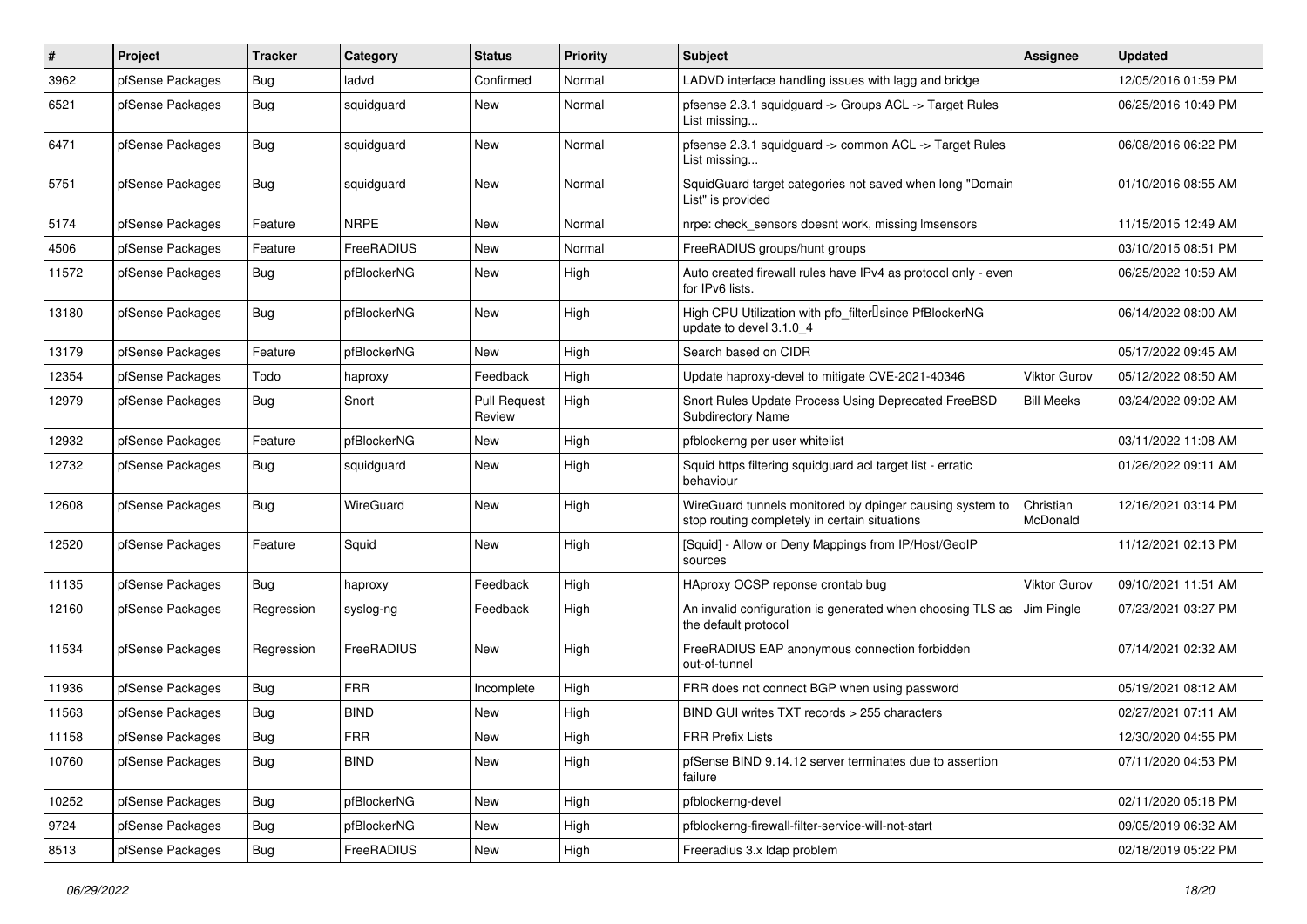| $\#$  | Project          | <b>Tracker</b> | Category    | <b>Status</b>                 | <b>Priority</b> | <b>Subject</b>                                                                                            | <b>Assignee</b>       | <b>Updated</b>      |
|-------|------------------|----------------|-------------|-------------------------------|-----------------|-----------------------------------------------------------------------------------------------------------|-----------------------|---------------------|
| 3962  | pfSense Packages | <b>Bug</b>     | ladvd       | Confirmed                     | Normal          | LADVD interface handling issues with lagg and bridge                                                      |                       | 12/05/2016 01:59 PM |
| 6521  | pfSense Packages | <b>Bug</b>     | squidguard  | New                           | Normal          | pfsense 2.3.1 squidguard -> Groups ACL -> Target Rules<br>List missing                                    |                       | 06/25/2016 10:49 PM |
| 6471  | pfSense Packages | Bug            | squidguard  | <b>New</b>                    | Normal          | pfsense 2.3.1 squidguard -> common ACL -> Target Rules<br>List missing                                    |                       | 06/08/2016 06:22 PM |
| 5751  | pfSense Packages | <b>Bug</b>     | squidguard  | New                           | Normal          | SquidGuard target categories not saved when long "Domain<br>List" is provided                             |                       | 01/10/2016 08:55 AM |
| 5174  | pfSense Packages | Feature        | <b>NRPE</b> | <b>New</b>                    | Normal          | nrpe: check sensors doesnt work, missing Imsensors                                                        |                       | 11/15/2015 12:49 AM |
| 4506  | pfSense Packages | Feature        | FreeRADIUS  | New                           | Normal          | FreeRADIUS groups/hunt groups                                                                             |                       | 03/10/2015 08:51 PM |
| 11572 | pfSense Packages | <b>Bug</b>     | pfBlockerNG | New                           | High            | Auto created firewall rules have IPv4 as protocol only - even<br>for IPv6 lists.                          |                       | 06/25/2022 10:59 AM |
| 13180 | pfSense Packages | Bug            | pfBlockerNG | <b>New</b>                    | High            | High CPU Utilization with pfb_filter <sup>[]</sup> since PfBlockerNG<br>update to devel 3.1.0 4           |                       | 06/14/2022 08:00 AM |
| 13179 | pfSense Packages | Feature        | pfBlockerNG | New                           | High            | Search based on CIDR                                                                                      |                       | 05/17/2022 09:45 AM |
| 12354 | pfSense Packages | Todo           | haproxy     | Feedback                      | High            | Update haproxy-devel to mitigate CVE-2021-40346                                                           | <b>Viktor Gurov</b>   | 05/12/2022 08:50 AM |
| 12979 | pfSense Packages | Bug            | Snort       | <b>Pull Request</b><br>Review | High            | Snort Rules Update Process Using Deprecated FreeBSD<br><b>Subdirectory Name</b>                           | <b>Bill Meeks</b>     | 03/24/2022 09:02 AM |
| 12932 | pfSense Packages | Feature        | pfBlockerNG | <b>New</b>                    | High            | pfblockerng per user whitelist                                                                            |                       | 03/11/2022 11:08 AM |
| 12732 | pfSense Packages | Bug            | squidguard  | New                           | High            | Squid https filtering squidguard acl target list - erratic<br>behaviour                                   |                       | 01/26/2022 09:11 AM |
| 12608 | pfSense Packages | <b>Bug</b>     | WireGuard   | <b>New</b>                    | High            | WireGuard tunnels monitored by dpinger causing system to<br>stop routing completely in certain situations | Christian<br>McDonald | 12/16/2021 03:14 PM |
| 12520 | pfSense Packages | Feature        | Squid       | New                           | High            | [Squid] - Allow or Deny Mappings from IP/Host/GeoIP<br>sources                                            |                       | 11/12/2021 02:13 PM |
| 11135 | pfSense Packages | Bug            | haproxy     | Feedback                      | High            | HAproxy OCSP reponse crontab bug                                                                          | <b>Viktor Gurov</b>   | 09/10/2021 11:51 AM |
| 12160 | pfSense Packages | Regression     | syslog-ng   | Feedback                      | High            | An invalid configuration is generated when choosing TLS as<br>the default protocol                        | Jim Pingle            | 07/23/2021 03:27 PM |
| 11534 | pfSense Packages | Regression     | FreeRADIUS  | New                           | High            | FreeRADIUS EAP anonymous connection forbidden<br>out-of-tunnel                                            |                       | 07/14/2021 02:32 AM |
| 11936 | pfSense Packages | Bug            | <b>FRR</b>  | Incomplete                    | High            | FRR does not connect BGP when using password                                                              |                       | 05/19/2021 08:12 AM |
| 11563 | pfSense Packages | Bug            | <b>BIND</b> | New                           | High            | BIND GUI writes TXT records > 255 characters                                                              |                       | 02/27/2021 07:11 AM |
| 11158 | pfSense Packages | Bug            | <b>FRR</b>  | New                           | High            | FRR Prefix Lists                                                                                          |                       | 12/30/2020 04:55 PM |
| 10760 | pfSense Packages | <b>Bug</b>     | <b>BIND</b> | New                           | High            | pfSense BIND 9.14.12 server terminates due to assertion<br>failure                                        |                       | 07/11/2020 04:53 PM |
| 10252 | pfSense Packages | <b>Bug</b>     | pfBlockerNG | New                           | High            | pfblockerng-devel                                                                                         |                       | 02/11/2020 05:18 PM |
| 9724  | pfSense Packages | Bug            | pfBlockerNG | New                           | High            | pfblockerng-firewall-filter-service-will-not-start                                                        |                       | 09/05/2019 06:32 AM |
| 8513  | pfSense Packages | <b>Bug</b>     | FreeRADIUS  | New                           | High            | Freeradius 3.x Idap problem                                                                               |                       | 02/18/2019 05:22 PM |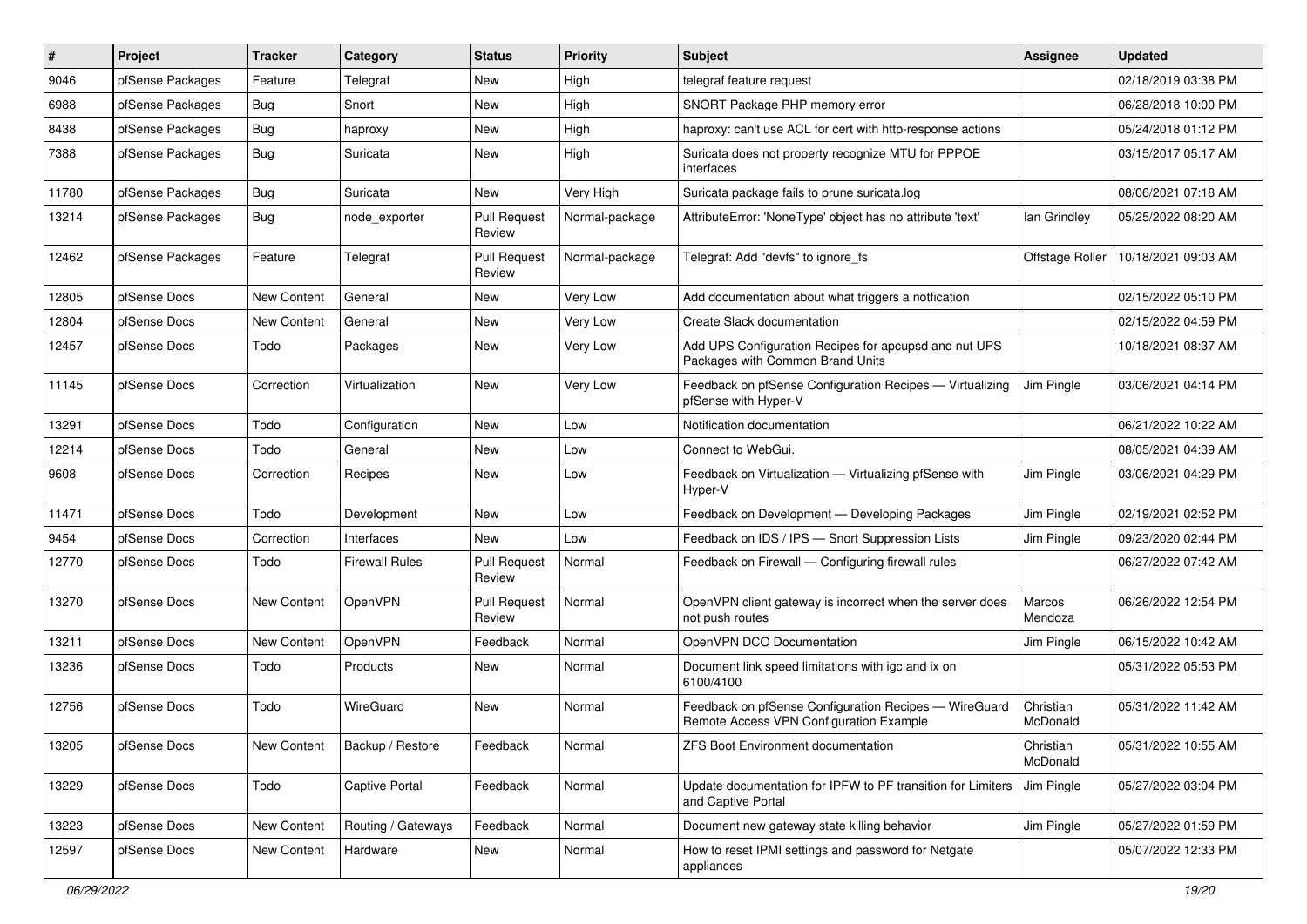| #     | Project          | <b>Tracker</b>     | Category              | <b>Status</b>                 | <b>Priority</b> | <b>Subject</b>                                                                                   | <b>Assignee</b>       | <b>Updated</b>      |
|-------|------------------|--------------------|-----------------------|-------------------------------|-----------------|--------------------------------------------------------------------------------------------------|-----------------------|---------------------|
| 9046  | pfSense Packages | Feature            | Telegraf              | New                           | High            | telegraf feature request                                                                         |                       | 02/18/2019 03:38 PM |
| 6988  | pfSense Packages | <b>Bug</b>         | Snort                 | <b>New</b>                    | High            | SNORT Package PHP memory error                                                                   |                       | 06/28/2018 10:00 PM |
| 8438  | pfSense Packages | Bug                | haproxy               | New                           | High            | haproxy: can't use ACL for cert with http-response actions                                       |                       | 05/24/2018 01:12 PM |
| 7388  | pfSense Packages | Bug                | Suricata              | <b>New</b>                    | High            | Suricata does not property recognize MTU for PPPOE<br>interfaces                                 |                       | 03/15/2017 05:17 AM |
| 11780 | pfSense Packages | <b>Bug</b>         | Suricata              | <b>New</b>                    | Very High       | Suricata package fails to prune suricata.log                                                     |                       | 08/06/2021 07:18 AM |
| 13214 | pfSense Packages | <b>Bug</b>         | node_exporter         | <b>Pull Request</b><br>Review | Normal-package  | AttributeError: 'NoneType' object has no attribute 'text'                                        | lan Grindley          | 05/25/2022 08:20 AM |
| 12462 | pfSense Packages | Feature            | Telegraf              | <b>Pull Request</b><br>Review | Normal-package  | Telegraf: Add "devfs" to ignore_fs                                                               | Offstage Roller       | 10/18/2021 09:03 AM |
| 12805 | pfSense Docs     | New Content        | General               | <b>New</b>                    | Very Low        | Add documentation about what triggers a notfication                                              |                       | 02/15/2022 05:10 PM |
| 12804 | pfSense Docs     | New Content        | General               | New                           | Very Low        | Create Slack documentation                                                                       |                       | 02/15/2022 04:59 PM |
| 12457 | pfSense Docs     | Todo               | Packages              | <b>New</b>                    | Very Low        | Add UPS Configuration Recipes for apcupsd and nut UPS<br>Packages with Common Brand Units        |                       | 10/18/2021 08:37 AM |
| 11145 | pfSense Docs     | Correction         | Virtualization        | <b>New</b>                    | Very Low        | Feedback on pfSense Configuration Recipes - Virtualizing<br>pfSense with Hyper-V                 | Jim Pingle            | 03/06/2021 04:14 PM |
| 13291 | pfSense Docs     | Todo               | Configuration         | <b>New</b>                    | Low             | Notification documentation                                                                       |                       | 06/21/2022 10:22 AM |
| 12214 | pfSense Docs     | Todo               | General               | New                           | Low             | Connect to WebGui.                                                                               |                       | 08/05/2021 04:39 AM |
| 9608  | pfSense Docs     | Correction         | Recipes               | <b>New</b>                    | Low             | Feedback on Virtualization - Virtualizing pfSense with<br>Hyper-V                                | Jim Pingle            | 03/06/2021 04:29 PM |
| 11471 | pfSense Docs     | Todo               | Development           | <b>New</b>                    | Low             | Feedback on Development - Developing Packages                                                    | Jim Pingle            | 02/19/2021 02:52 PM |
| 9454  | pfSense Docs     | Correction         | Interfaces            | New                           | Low             | Feedback on IDS / IPS - Snort Suppression Lists                                                  | Jim Pingle            | 09/23/2020 02:44 PM |
| 12770 | pfSense Docs     | Todo               | <b>Firewall Rules</b> | <b>Pull Request</b><br>Review | Normal          | Feedback on Firewall - Configuring firewall rules                                                |                       | 06/27/2022 07:42 AM |
| 13270 | pfSense Docs     | <b>New Content</b> | OpenVPN               | <b>Pull Request</b><br>Review | Normal          | OpenVPN client gateway is incorrect when the server does<br>not push routes                      | Marcos<br>Mendoza     | 06/26/2022 12:54 PM |
| 13211 | pfSense Docs     | New Content        | OpenVPN               | Feedback                      | Normal          | OpenVPN DCO Documentation                                                                        | Jim Pingle            | 06/15/2022 10:42 AM |
| 13236 | pfSense Docs     | Todo               | Products              | New                           | Normal          | Document link speed limitations with igc and ix on<br>6100/4100                                  |                       | 05/31/2022 05:53 PM |
| 12756 | pfSense Docs     | Todo               | WireGuard             | New                           | Normal          | Feedback on pfSense Configuration Recipes - WireGuard<br>Remote Access VPN Configuration Example | Christian<br>McDonald | 05/31/2022 11:42 AM |
| 13205 | pfSense Docs     | New Content        | Backup / Restore      | Feedback                      | Normal          | ZFS Boot Environment documentation                                                               | Christian<br>McDonald | 05/31/2022 10:55 AM |
| 13229 | pfSense Docs     | Todo               | Captive Portal        | Feedback                      | Normal          | Update documentation for IPFW to PF transition for Limiters<br>and Captive Portal                | Jim Pingle            | 05/27/2022 03:04 PM |
| 13223 | pfSense Docs     | New Content        | Routing / Gateways    | Feedback                      | Normal          | Document new gateway state killing behavior                                                      | Jim Pingle            | 05/27/2022 01:59 PM |
| 12597 | pfSense Docs     | New Content        | Hardware              | New                           | Normal          | How to reset IPMI settings and password for Netgate<br>appliances                                |                       | 05/07/2022 12:33 PM |